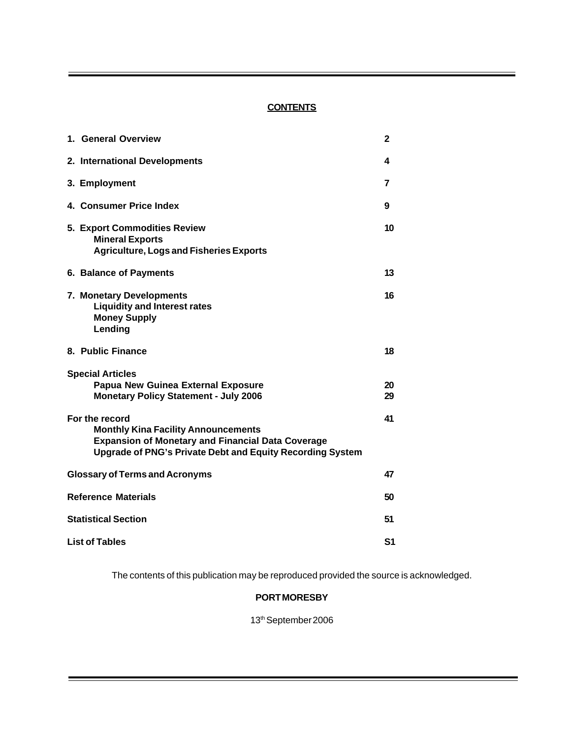## **CONTENTS**

| 1. General Overview                                                                                                                                                                          | 2        |
|----------------------------------------------------------------------------------------------------------------------------------------------------------------------------------------------|----------|
| 2. International Developments                                                                                                                                                                | 4        |
| 3. Employment                                                                                                                                                                                | 7        |
| 4. Consumer Price Index                                                                                                                                                                      | 9        |
| <b>5. Export Commodities Review</b><br><b>Mineral Exports</b><br><b>Agriculture, Logs and Fisheries Exports</b>                                                                              | 10       |
| 6. Balance of Payments                                                                                                                                                                       | 13       |
| 7. Monetary Developments<br><b>Liquidity and Interest rates</b><br><b>Money Supply</b><br>Lending                                                                                            | 16       |
| 8. Public Finance                                                                                                                                                                            | 18       |
| <b>Special Articles</b><br>Papua New Guinea External Exposure<br><b>Monetary Policy Statement - July 2006</b>                                                                                | 20<br>29 |
| For the record<br><b>Monthly Kina Facility Announcements</b><br><b>Expansion of Monetary and Financial Data Coverage</b><br><b>Upgrade of PNG's Private Debt and Equity Recording System</b> | 41       |
| <b>Glossary of Terms and Acronyms</b>                                                                                                                                                        | 47       |
| <b>Reference Materials</b>                                                                                                                                                                   |          |
| <b>Statistical Section</b>                                                                                                                                                                   |          |
| <b>List of Tables</b>                                                                                                                                                                        |          |

The contents of this publication may be reproduced provided the source is acknowledged.

## **PORT MORESBY**

13th September 2006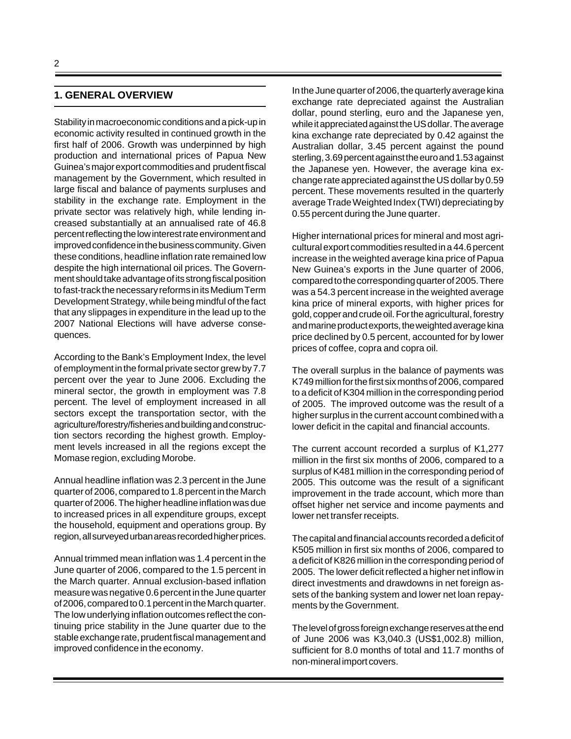## **1. GENERAL OVERVIEW**

Stability in macroeconomic conditions and a pick-up in economic activity resulted in continued growth in the first half of 2006. Growth was underpinned by high production and international prices of Papua New Guinea's major export commodities and prudent fiscal management by the Government, which resulted in large fiscal and balance of payments surpluses and stability in the exchange rate. Employment in the private sector was relatively high, while lending increased substantially at an annualised rate of 46.8 percent reflecting the low interest rate environment and improved confidence in the business community. Given these conditions, headline inflation rate remained low despite the high international oil prices. The Government should take advantage of its strong fiscal position to fast-track the necessary reforms in its Medium Term Development Strategy, while being mindful of the fact that any slippages in expenditure in the lead up to the 2007 National Elections will have adverse consequences.

According to the Bank's Employment Index, the level of employment in the formal private sector grew by 7.7 percent over the year to June 2006. Excluding the mineral sector, the growth in employment was 7.8 percent. The level of employment increased in all sectors except the transportation sector, with the agriculture/forestry/fisheries and building and construction sectors recording the highest growth. Employment levels increased in all the regions except the Momase region, excluding Morobe.

Annual headline inflation was 2.3 percent in the June quarter of 2006, compared to 1.8 percent in the March quarter of 2006. The higher headline inflation was due to increased prices in all expenditure groups, except the household, equipment and operations group. By region, all surveyed urban areas recorded higher prices.

Annual trimmed mean inflation was 1.4 percent in the June quarter of 2006, compared to the 1.5 percent in the March quarter. Annual exclusion-based inflation measure was negative 0.6 percent in the June quarter of 2006, compared to 0.1 percent in the March quarter. The low underlying inflation outcomes reflect the continuing price stability in the June quarter due to the stable exchange rate, prudent fiscal management and improved confidence in the economy.

In the June quarter of 2006, the quarterly average kina exchange rate depreciated against the Australian dollar, pound sterling, euro and the Japanese yen, while it appreciated against the US dollar. The average kina exchange rate depreciated by 0.42 against the Australian dollar, 3.45 percent against the pound sterling, 3.69 percent against the euro and 1.53 against the Japanese yen. However, the average kina exchange rate appreciated against the US dollar by 0.59 percent. These movements resulted in the quarterly average Trade Weighted Index (TWI) depreciating by 0.55 percent during the June quarter.

Higher international prices for mineral and most agricultural export commodities resulted in a 44.6 percent increase in the weighted average kina price of Papua New Guinea's exports in the June quarter of 2006, compared to the corresponding quarter of 2005. There was a 54.3 percent increase in the weighted average kina price of mineral exports, with higher prices for gold, copper and crude oil. For the agricultural, forestry and marine product exports, the weighted average kina price declined by 0.5 percent, accounted for by lower prices of coffee, copra and copra oil.

The overall surplus in the balance of payments was K749 million for the first six months of 2006, compared to a deficit of K304 million in the corresponding period of 2005. The improved outcome was the result of a higher surplus in the current account combined with a lower deficit in the capital and financial accounts.

The current account recorded a surplus of K1,277 million in the first six months of 2006, compared to a surplus of K481 million in the corresponding period of 2005. This outcome was the result of a significant improvement in the trade account, which more than offset higher net service and income payments and lower net transfer receipts.

The capital and financial accounts recorded a deficit of K505 million in first six months of 2006, compared to a deficit of K826 million in the corresponding period of 2005. The lower deficit reflected a higher net inflow in direct investments and drawdowns in net foreign assets of the banking system and lower net loan repayments by the Government.

The level of gross foreign exchange reserves at the end of June 2006 was K3,040.3 (US\$1,002.8) million, sufficient for 8.0 months of total and 11.7 months of non-mineral import covers.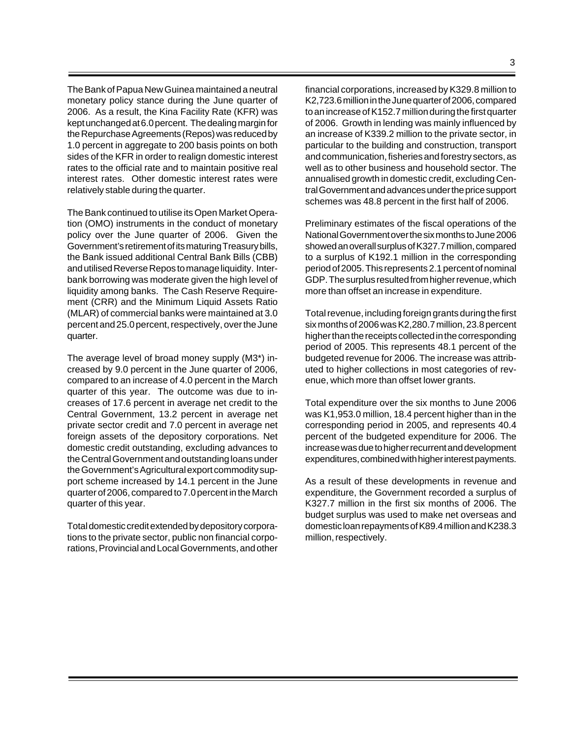The Bank of Papua New Guinea maintained a neutral monetary policy stance during the June quarter of 2006. As a result, the Kina Facility Rate (KFR) was kept unchanged at 6.0 percent. The dealing margin for the Repurchase Agreements (Repos) was reduced by 1.0 percent in aggregate to 200 basis points on both sides of the KFR in order to realign domestic interest rates to the official rate and to maintain positive real interest rates. Other domestic interest rates were relatively stable during the quarter.

The Bank continued to utilise its Open Market Operation (OMO) instruments in the conduct of monetary policy over the June quarter of 2006. Given the Government's retirement of its maturing Treasury bills, the Bank issued additional Central Bank Bills (CBB) and utilised Reverse Repos to manage liquidity. Interbank borrowing was moderate given the high level of liquidity among banks. The Cash Reserve Requirement (CRR) and the Minimum Liquid Assets Ratio (MLAR) of commercial banks were maintained at 3.0 percent and 25.0 percent, respectively, over the June quarter.

The average level of broad money supply (M3\*) increased by 9.0 percent in the June quarter of 2006, compared to an increase of 4.0 percent in the March quarter of this year. The outcome was due to increases of 17.6 percent in average net credit to the Central Government, 13.2 percent in average net private sector credit and 7.0 percent in average net foreign assets of the depository corporations. Net domestic credit outstanding, excluding advances to the Central Government and outstanding loans under the Government's Agricultural export commodity support scheme increased by 14.1 percent in the June quarter of 2006, compared to 7.0 percent in the March quarter of this year.

Total domestic credit extended by depository corporations to the private sector, public non financial corporations, Provincial and Local Governments, and other financial corporations, increased by K329.8 million to K2,723.6 million in the June quarter of 2006, compared to an increase of K152.7 million during the first quarter of 2006. Growth in lending was mainly influenced by an increase of K339.2 million to the private sector, in particular to the building and construction, transport and communication, fisheries and forestry sectors, as well as to other business and household sector. The annualised growth in domestic credit, excluding Central Government and advances under the price support schemes was 48.8 percent in the first half of 2006.

Preliminary estimates of the fiscal operations of the National Government over the six months to June 2006 showed an overall surplus of K327.7 million, compared to a surplus of K192.1 million in the corresponding period of 2005. This represents 2.1 percent of nominal GDP. The surplus resulted from higher revenue, which more than offset an increase in expenditure.

Total revenue, including foreign grants during the first six months of 2006 was K2,280.7 million, 23.8 percent higher than the receipts collected in the corresponding period of 2005. This represents 48.1 percent of the budgeted revenue for 2006. The increase was attributed to higher collections in most categories of revenue, which more than offset lower grants.

Total expenditure over the six months to June 2006 was K1,953.0 million, 18.4 percent higher than in the corresponding period in 2005, and represents 40.4 percent of the budgeted expenditure for 2006. The increase was due to higher recurrent and development expenditures, combined with higher interest payments.

As a result of these developments in revenue and expenditure, the Government recorded a surplus of K327.7 million in the first six months of 2006. The budget surplus was used to make net overseas and domestic loan repayments of K89.4 million and K238.3 million, respectively.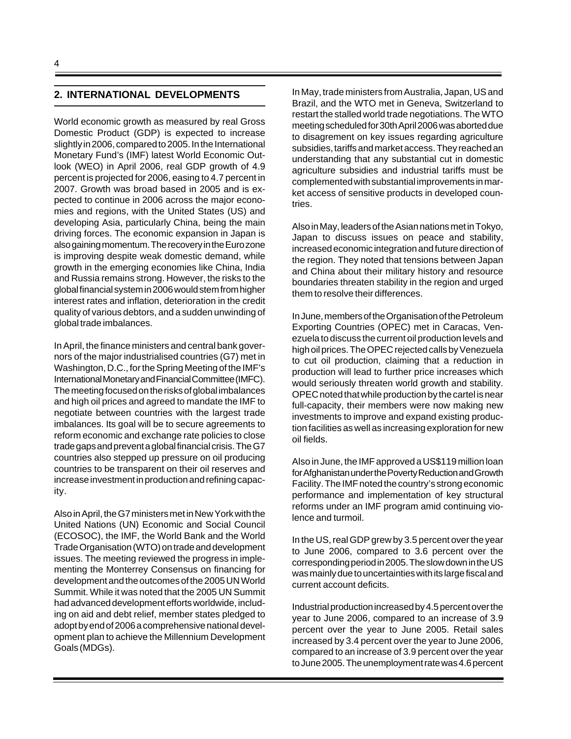## **2. INTERNATIONAL DEVELOPMENTS**

World economic growth as measured by real Gross Domestic Product (GDP) is expected to increase slightly in 2006, compared to 2005. In the International Monetary Fund's (IMF) latest World Economic Outlook (WEO) in April 2006, real GDP growth of 4.9 percent is projected for 2006, easing to 4.7 percent in 2007. Growth was broad based in 2005 and is expected to continue in 2006 across the major economies and regions, with the United States (US) and developing Asia, particularly China, being the main driving forces. The economic expansion in Japan is also gaining momentum. The recovery in the Euro zone is improving despite weak domestic demand, while growth in the emerging economies like China, India and Russia remains strong. However, the risks to the global financial system in 2006 would stem from higher interest rates and inflation, deterioration in the credit quality of various debtors, and a sudden unwinding of global trade imbalances.

In April, the finance ministers and central bank governors of the major industrialised countries (G7) met in Washington, D.C., for the Spring Meeting of the IMF's International Monetary and Financial Committee (IMFC). The meeting focused on the risks of global imbalances and high oil prices and agreed to mandate the IMF to negotiate between countries with the largest trade imbalances. Its goal will be to secure agreements to reform economic and exchange rate policies to close trade gaps and prevent a global financial crisis. The G7 countries also stepped up pressure on oil producing countries to be transparent on their oil reserves and increase investment in production and refining capacity.

Also in April, the G7 ministers met in New York with the United Nations (UN) Economic and Social Council (ECOSOC), the IMF, the World Bank and the World Trade Organisation (WTO) on trade and development issues. The meeting reviewed the progress in implementing the Monterrey Consensus on financing for development and the outcomes of the 2005 UN World Summit. While it was noted that the 2005 UN Summit had advanced development efforts worldwide, including on aid and debt relief, member states pledged to adopt by end of 2006 a comprehensive national development plan to achieve the Millennium Development Goals (MDGs).

In May, trade ministers from Australia, Japan, US and Brazil, and the WTO met in Geneva, Switzerland to restart the stalled world trade negotiations. The WTO meeting scheduled for 30th April 2006 was aborted due to disagrement on key issues regarding agriculture subsidies, tariffs and market access. They reached an understanding that any substantial cut in domestic agriculture subsidies and industrial tariffs must be complemented with substantial improvements in market access of sensitive products in developed countries.

Also in May, leaders of the Asian nations met in Tokyo, Japan to discuss issues on peace and stability, increased economic integration and future direction of the region. They noted that tensions between Japan and China about their military history and resource boundaries threaten stability in the region and urged them to resolve their differences.

In June, members of the Organisation of the Petroleum Exporting Countries (OPEC) met in Caracas, Venezuela to discuss the current oil production levels and high oil prices. The OPEC rejected calls by Venezuela to cut oil production, claiming that a reduction in production will lead to further price increases which would seriously threaten world growth and stability. OPEC noted that while production by the cartel is near full-capacity, their members were now making new investments to improve and expand existing production facilities as well as increasing exploration for new oil fields.

Also in June, the IMF approved a US\$119 million loan for Afghanistan under the Poverty Reduction and Growth Facility. The IMF noted the country's strong economic performance and implementation of key structural reforms under an IMF program amid continuing violence and turmoil.

In the US, real GDP grew by 3.5 percent over the year to June 2006, compared to 3.6 percent over the corresponding period in 2005. The slow down in the US was mainly due to uncertainties with its large fiscal and current account deficits.

Industrial production increased by 4.5 percent over the year to June 2006, compared to an increase of 3.9 percent over the year to June 2005. Retail sales increased by 3.4 percent over the year to June 2006, compared to an increase of 3.9 percent over the year to June 2005.The unemployment rate was 4.6 percent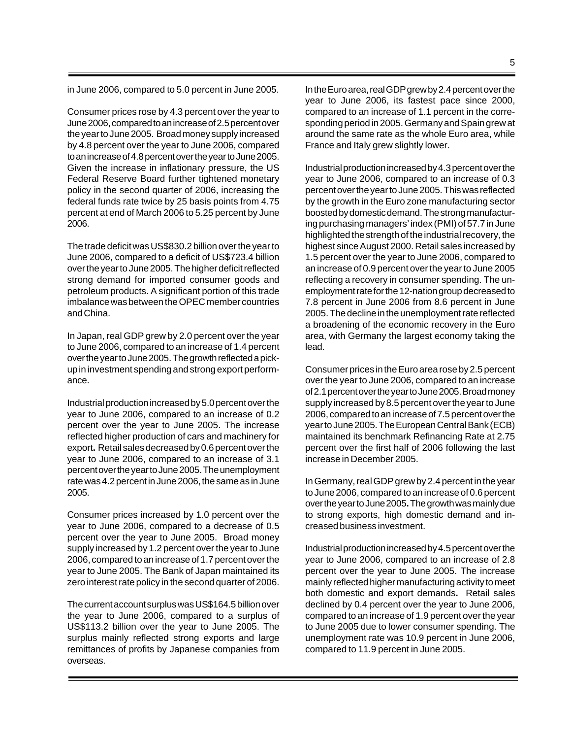5

in June 2006, compared to 5.0 percent in June 2005.

Consumer prices rose by 4.3 percent over the year to June 2006, compared to an increase of 2.5 percent over the year to June 2005.Broad money supply increased by 4.8 percent over the year to June 2006, compared to an increase of 4.8 percent over the year to June 2005. Given the increase in inflationary pressure, the US Federal Reserve Board further tightened monetary policy in the second quarter of 2006, increasing the federal funds rate twice by 25 basis points from 4.75 percent at end of March 2006 to 5.25 percent by June 2006.

The trade deficit was US\$830.2 billion over the year to June 2006, compared to a deficit of US\$723.4 billion over the year to June 2005. The higher deficit reflected strong demand for imported consumer goods and petroleum products. A significant portion of this trade imbalance was between the OPEC member countries and China.

In Japan, real GDP grew by 2.0 percent over the year to June 2006, compared to an increase of 1.4 percent over the year to June 2005.The growth reflected a pickup in investment spending and strong export performance.

Industrial production increased by 5.0 percent over the year to June 2006, compared to an increase of 0.2 percent over the year to June 2005. The increase reflected higher production of cars and machinery for export**.** Retail sales decreased by 0.6 percent over the year to June 2006, compared to an increase of 3.1 percent over the year to June 2005.The unemployment rate was 4.2 percent in June 2006, the same as in June 2005.

Consumer prices increased by 1.0 percent over the year to June 2006, compared to a decrease of 0.5 percent over the year to June 2005.Broad money supply increased by 1.2 percent over the year to June 2006, compared to an increase of 1.7 percent over the year to June 2005. The Bank of Japan maintained its zero interest rate policy in the second quarter of 2006.

The current account surplus was US\$164.5 billion over the year to June 2006, compared to a surplus of US\$113.2 billion over the year to June 2005. The surplus mainly reflected strong exports and large remittances of profits by Japanese companies from overseas.

In the Euro area, real GDP grew by 2.4 percent over the year to June 2006, its fastest pace since 2000, compared to an increase of 1.1 percent in the corresponding period in 2005. Germany and Spain grew at around the same rate as the whole Euro area, while France and Italy grew slightly lower.

Industrial production increased by 4.3 percent over the year to June 2006, compared to an increase of 0.3 percent over the year to June 2005.This was reflected by the growth in the Euro zone manufacturing sector boosted by domestic demand.The strong manufacturing purchasing managers' index (PMI) of 57.7 in June highlighted the strength of the industrial recovery, the highest since August 2000. Retail sales increased by 1.5 percent over the year to June 2006, compared to an increase of 0.9 percent over the year to June 2005 reflecting a recovery in consumer spending. The unemployment rate for the 12-nation group decreased to 7.8 percent in June 2006 from 8.6 percent in June 2005. The decline in the unemployment rate reflected a broadening of the economic recovery in the Euro area, with Germany the largest economy taking the lead.

Consumer prices in the Euro area rose by 2.5 percent over the year to June 2006, compared to an increase of 2.1 percent over the year to June 2005. Broad money supply increased by 8.5 percent over the year to June 2006, compared to an increase of 7.5 percent over the year to June 2005.The European Central Bank (ECB) maintained its benchmark Refinancing Rate at 2.75 percent over the first half of 2006 following the last increase in December 2005.

In Germany, real GDP grew by 2.4 percent in the year to June 2006, compared to an increase of 0.6 percent over the year to June 2005**.** The growth was mainly due to strong exports, high domestic demand and increased business investment.

Industrial production increased by 4.5 percent over the year to June 2006, compared to an increase of 2.8 percent over the year to June 2005. The increase mainly reflected higher manufacturing activity to meet both domestic and export demands**.** Retail sales declined by 0.4 percent over the year to June 2006, compared to an increase of 1.9 percent over the year to June 2005 due to lower consumer spending. The unemployment rate was 10.9 percent in June 2006, compared to 11.9 percent in June 2005.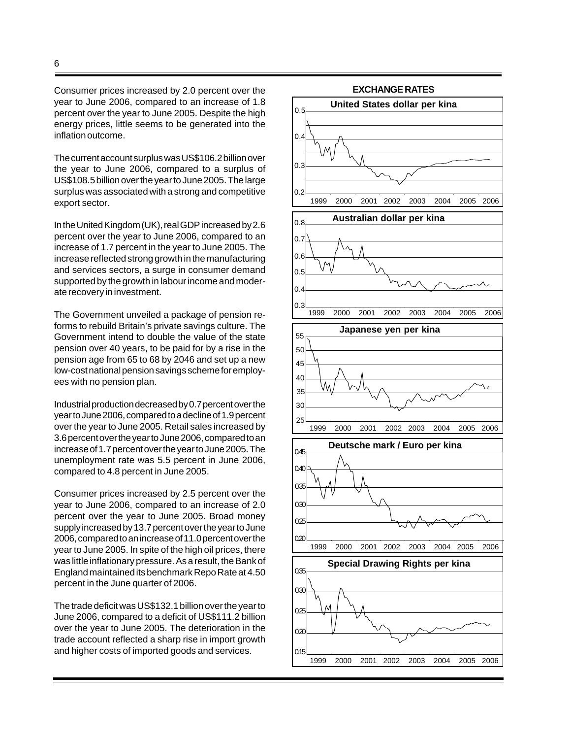Consumer prices increased by 2.0 percent over the year to June 2006, compared to an increase of 1.8 percent over the year to June 2005. Despite the high energy prices, little seems to be generated into the inflation outcome.

The current account surplus was US\$106.2 billion over the year to June 2006, compared to a surplus of US\$108.5 billion over the year to June 2005. The large surplus was associated with a strong and competitive export sector.

In the United Kingdom (UK), real GDP increased by 2.6 percent over the year to June 2006, compared to an increase of 1.7 percent in the year to June 2005. The increase reflected strong growth in the manufacturing and services sectors, a surge in consumer demand supported by the growth in labour income and moderate recovery in investment.

The Government unveiled a package of pension reforms to rebuild Britain's private savings culture. The Government intend to double the value of the state pension over 40 years, to be paid for by a rise in the pension age from 65 to 68 by 2046 and set up a new low-cost national pension savings scheme for employees with no pension plan.

Industrial production decreased by 0.7 percent over the year to June 2006, compared to a decline of 1.9 percent over the year to June 2005. Retail sales increased by 3.6 percent over the year to June 2006, compared to an increase of 1.7 percent over the year to June 2005.The unemployment rate was 5.5 percent in June 2006, compared to 4.8 percent in June 2005.

Consumer prices increased by 2.5 percent over the year to June 2006, compared to an increase of 2.0 percent over the year to June 2005. Broad money supply increased by 13.7 percent over the year to June 2006, compared to an increase of 11.0 percent over the year to June 2005. In spite of the high oil prices, there was little inflationary pressure. As a result, the Bank of England maintained its benchmark Repo Rate at 4.50 percent in the June quarter of 2006.

The trade deficit was US\$132.1 billion over the year to June 2006, compared to a deficit of US\$111.2 billion over the year to June 2005. The deterioration in the trade account reflected a sharp rise in import growth and higher costs of imported goods and services.

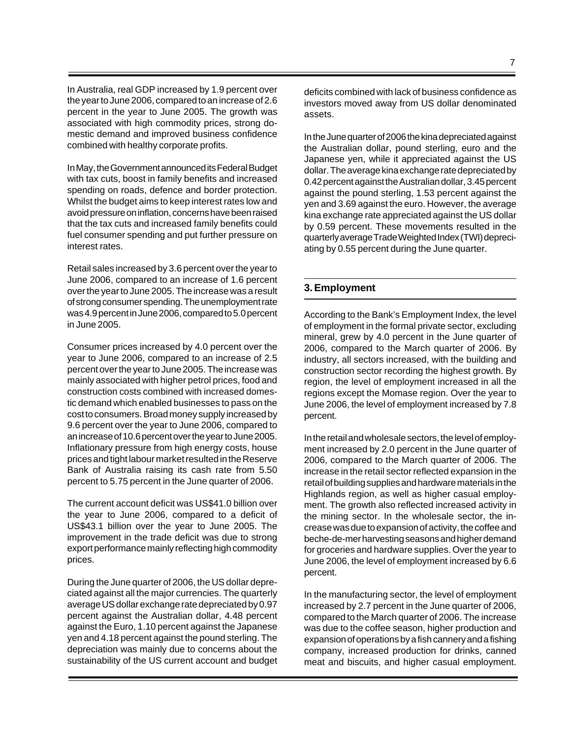In Australia, real GDP increased by 1.9 percent over the year to June 2006, compared to an increase of 2.6 percent in the year to June 2005. The growth was associated with high commodity prices, strong domestic demand and improved business confidence combined with healthy corporate profits.

In May, the Government announced its Federal Budget with tax cuts, boost in family benefits and increased spending on roads, defence and border protection. Whilst the budget aims to keep interest rates low and avoid pressure on inflation, concerns have been raised that the tax cuts and increased family benefits could fuel consumer spending and put further pressure on interest rates.

Retail sales increased by 3.6 percent over the year to June 2006, compared to an increase of 1.6 percent over the year to June 2005. The increase was a result of strong consumer spending.The unemployment rate was 4.9 percent in June 2006, compared to 5.0 percent in June 2005.

Consumer prices increased by 4.0 percent over the year to June 2006, compared to an increase of 2.5 percent over the year to June 2005.The increase was mainly associated with higher petrol prices, food and construction costs combined with increased domestic demand which enabled businesses to pass on the cost to consumers.Broad money supply increased by 9.6 percent over the year to June 2006, compared to an increase of 10.6 percent over the year to June 2005. Inflationary pressure from high energy costs, house prices and tight labour market resulted in the Reserve Bank of Australia raising its cash rate from 5.50 percent to 5.75 percent in the June quarter of 2006.

The current account deficit was US\$41.0 billion over the year to June 2006, compared to a deficit of US\$43.1 billion over the year to June 2005. The improvement in the trade deficit was due to strong export performance mainly reflecting high commodity prices.

During the June quarter of 2006, the US dollar depreciated against all the major currencies. The quarterly average US dollar exchange rate depreciated by 0.97 percent against the Australian dollar, 4.48 percent against the Euro, 1.10 percent against the Japanese yen and 4.18 percent against the pound sterling. The depreciation was mainly due to concerns about the sustainability of the US current account and budget

deficits combined with lack of business confidence as investors moved away from US dollar denominated assets.

In the June quarter of 2006 the kina depreciated against the Australian dollar, pound sterling, euro and the Japanese yen, while it appreciated against the US dollar. The average kina exchange rate depreciated by 0.42 percent against the Australian dollar, 3.45 percent against the pound sterling, 1.53 percent against the yen and 3.69 against the euro. However, the average kina exchange rate appreciated against the US dollar by 0.59 percent. These movements resulted in the quarterly average Trade Weighted Index (TWI) depreciating by 0.55 percent during the June quarter.

## **3. Employment**

According to the Bank's Employment Index, the level of employment in the formal private sector, excluding mineral, grew by 4.0 percent in the June quarter of 2006, compared to the March quarter of 2006. By industry, all sectors increased, with the building and construction sector recording the highest growth. By region, the level of employment increased in all the regions except the Momase region. Over the year to June 2006, the level of employment increased by 7.8 percent.

In the retail and wholesale sectors, the level of employment increased by 2.0 percent in the June quarter of 2006, compared to the March quarter of 2006. The increase in the retail sector reflected expansion in the retail of building supplies and hardware materials in the Highlands region, as well as higher casual employment. The growth also reflected increased activity in the mining sector. In the wholesale sector, the increase was due to expansion of activity, the coffee and beche-de-mer harvesting seasons and higher demand for groceries and hardware supplies. Over the year to June 2006, the level of employment increased by 6.6 percent.

In the manufacturing sector, the level of employment increased by 2.7 percent in the June quarter of 2006, compared to the March quarter of 2006. The increase was due to the coffee season, higher production and expansion of operations by a fish cannery and a fishing company, increased production for drinks, canned meat and biscuits, and higher casual employment.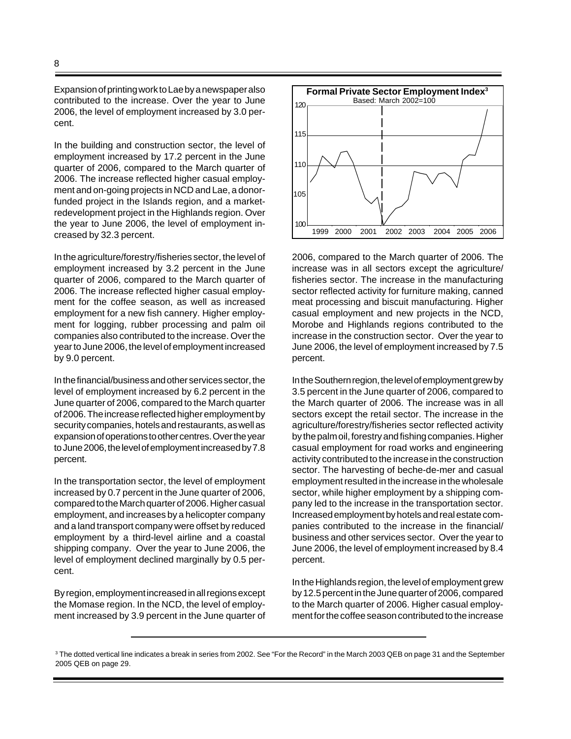Expansion of printing work to Lae by a newspaper also contributed to the increase. Over the year to June 2006, the level of employment increased by 3.0 percent.

In the building and construction sector, the level of employment increased by 17.2 percent in the June quarter of 2006, compared to the March quarter of 2006. The increase reflected higher casual employment and on-going projects in NCD and Lae, a donorfunded project in the Islands region, and a marketredevelopment project in the Highlands region. Over the year to June 2006, the level of employment increased by 32.3 percent.

In the agriculture/forestry/fisheries sector, the level of employment increased by 3.2 percent in the June quarter of 2006, compared to the March quarter of 2006. The increase reflected higher casual employment for the coffee season, as well as increased employment for a new fish cannery. Higher employment for logging, rubber processing and palm oil companies also contributed to the increase. Over the year to June 2006, the level of employment increased by 9.0 percent.

In the financial/business and other services sector, the level of employment increased by 6.2 percent in the June quarter of 2006, compared to the March quarter of 2006. The increase reflected higher employment by security companies, hotels and restaurants, as well as expansion of operations to other centres. Over the year to June 2006, the level of employment increased by 7.8 percent.

In the transportation sector, the level of employment increased by 0.7 percent in the June quarter of 2006, compared to the March quarter of 2006. Higher casual employment, and increases by a helicopter company and a land transport company were offset by reduced employment by a third-level airline and a coastal shipping company. Over the year to June 2006, the level of employment declined marginally by 0.5 percent.

By region, employment increased in all regions except the Momase region. In the NCD, the level of employment increased by 3.9 percent in the June quarter of



2006, compared to the March quarter of 2006. The increase was in all sectors except the agriculture/ fisheries sector. The increase in the manufacturing sector reflected activity for furniture making, canned meat processing and biscuit manufacturing. Higher casual employment and new projects in the NCD, Morobe and Highlands regions contributed to the increase in the construction sector. Over the year to June 2006, the level of employment increased by 7.5 percent.

In the Southern region, the level of employment grew by 3.5 percent in the June quarter of 2006, compared to the March quarter of 2006. The increase was in all sectors except the retail sector. The increase in the agriculture/forestry/fisheries sector reflected activity by the palm oil, forestry and fishing companies. Higher casual employment for road works and engineering activity contributed to the increase in the construction sector. The harvesting of beche-de-mer and casual employment resulted in the increase in the wholesale sector, while higher employment by a shipping company led to the increase in the transportation sector. Increased employment by hotels and real estate companies contributed to the increase in the financial/ business and other services sector. Over the year to June 2006, the level of employment increased by 8.4 percent.

In the Highlands region, the level of employment grew by 12.5 percent in the June quarter of 2006, compared to the March quarter of 2006. Higher casual employment for the coffee season contributed to the increase

<sup>3</sup> The dotted vertical line indicates a break in series from 2002. See "For the Record" in the March 2003 QEB on page 31 and the September 2005 QEB on page 29.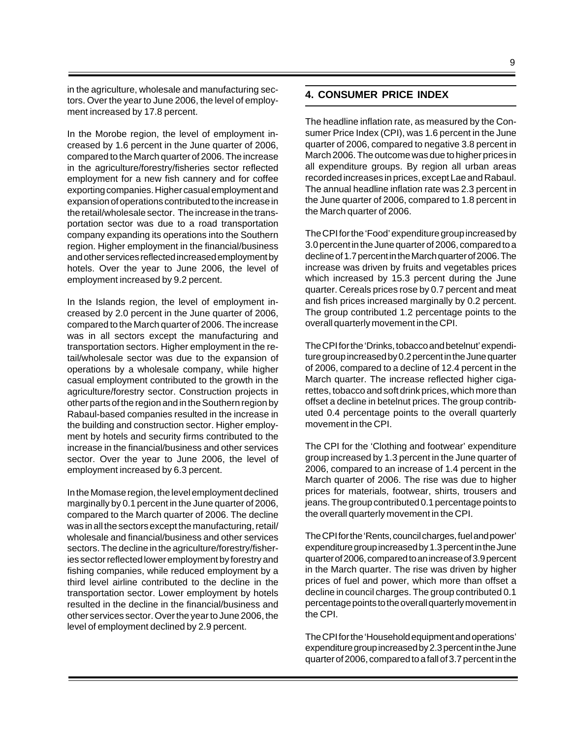in the agriculture, wholesale and manufacturing sectors. Over the year to June 2006, the level of employment increased by 17.8 percent.

In the Morobe region, the level of employment increased by 1.6 percent in the June quarter of 2006, compared to the March quarter of 2006. The increase in the agriculture/forestry/fisheries sector reflected employment for a new fish cannery and for coffee exporting companies. Higher casual employment and expansion of operations contributed to the increase in the retail/wholesale sector. The increase in the transportation sector was due to a road transportation company expanding its operations into the Southern region. Higher employment in the financial/business and other services reflected increased employment by hotels. Over the year to June 2006, the level of employment increased by 9.2 percent.

In the Islands region, the level of employment increased by 2.0 percent in the June quarter of 2006, compared to the March quarter of 2006. The increase was in all sectors except the manufacturing and transportation sectors. Higher employment in the retail/wholesale sector was due to the expansion of operations by a wholesale company, while higher casual employment contributed to the growth in the agriculture/forestry sector. Construction projects in other parts of the region and in the Southern region by Rabaul-based companies resulted in the increase in the building and construction sector. Higher employment by hotels and security firms contributed to the increase in the financial/business and other services sector. Over the year to June 2006, the level of employment increased by 6.3 percent.

In the Momase region, the level employment declined marginally by 0.1 percent in the June quarter of 2006, compared to the March quarter of 2006. The decline was in all the sectors except the manufacturing, retail/ wholesale and financial/business and other services sectors. The decline in the agriculture/forestry/fisheries sector reflected lower employment by forestry and fishing companies, while reduced employment by a third level airline contributed to the decline in the transportation sector. Lower employment by hotels resulted in the decline in the financial/business and other services sector. Over the year to June 2006, the level of employment declined by 2.9 percent.

## **4. CONSUMER PRICE INDEX**

The headline inflation rate, as measured by the Consumer Price Index (CPI), was 1.6 percent in the June quarter of 2006, compared to negative 3.8 percent in March 2006. The outcome was due to higher prices in all expenditure groups. By region all urban areas recorded increases in prices, except Lae and Rabaul. The annual headline inflation rate was 2.3 percent in the June quarter of 2006, compared to 1.8 percent in the March quarter of 2006.

The CPI for the 'Food' expenditure group increased by 3.0 percent in the June quarter of 2006, compared to a decline of 1.7 percent in the March quarter of 2006. The increase was driven by fruits and vegetables prices which increased by 15.3 percent during the June quarter. Cereals prices rose by 0.7 percent and meat and fish prices increased marginally by 0.2 percent. The group contributed 1.2 percentage points to the overall quarterly movement in the CPI.

The CPI for the 'Drinks, tobacco and betelnut' expenditure group increased by 0.2 percent in the June quarter of 2006, compared to a decline of 12.4 percent in the March quarter. The increase reflected higher cigarettes, tobacco and soft drink prices, which more than offset a decline in betelnut prices. The group contributed 0.4 percentage points to the overall quarterly movement in the CPI.

The CPI for the 'Clothing and footwear' expenditure group increased by 1.3 percent in the June quarter of 2006, compared to an increase of 1.4 percent in the March quarter of 2006. The rise was due to higher prices for materials, footwear, shirts, trousers and jeans. The group contributed 0.1 percentage points to the overall quarterly movement in the CPI.

The CPI for the 'Rents, council charges, fuel and power' expenditure group increased by 1.3 percent in the June quarter of 2006, compared to an increase of 3.9 percent in the March quarter. The rise was driven by higher prices of fuel and power, which more than offset a decline in council charges. The group contributed 0.1 percentage points to the overall quarterly movement in the CPI.

The CPI for the 'Household equipment and operations' expenditure group increased by 2.3 percent in the June quarter of 2006, compared to a fall of 3.7 percent in the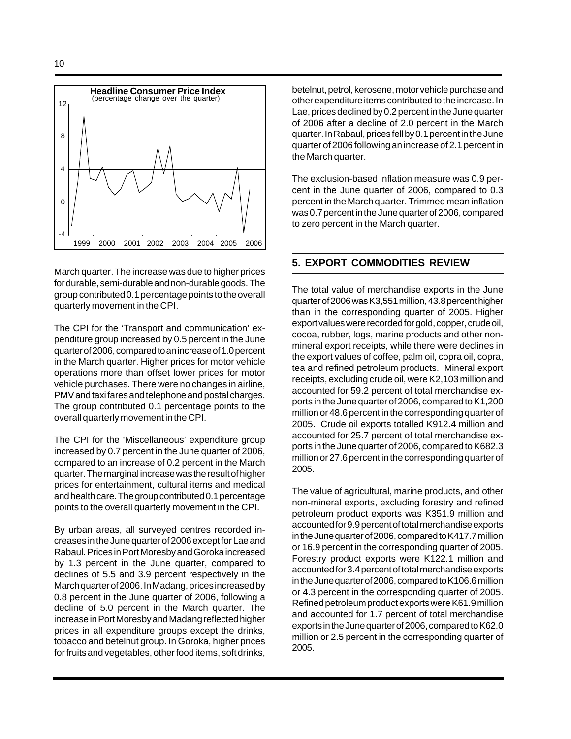

March quarter. The increase was due to higher prices for durable, semi-durable and non-durable goods. The group contributed 0.1 percentage points to the overall quarterly movement in the CPI.

The CPI for the 'Transport and communication' expenditure group increased by 0.5 percent in the June quarter of 2006, compared to an increase of 1.0 percent in the March quarter. Higher prices for motor vehicle operations more than offset lower prices for motor vehicle purchases. There were no changes in airline, PMV and taxi fares and telephone and postal charges. The group contributed 0.1 percentage points to the overall quarterly movement in the CPI.

The CPI for the 'Miscellaneous' expenditure group increased by 0.7 percent in the June quarter of 2006, compared to an increase of 0.2 percent in the March quarter. The marginal increase was the result of higher prices for entertainment, cultural items and medical and health care. The group contributed 0.1 percentage points to the overall quarterly movement in the CPI.

By urban areas, all surveyed centres recorded increases in the June quarter of 2006 except for Lae and Rabaul. Prices in Port Moresby and Goroka increased by 1.3 percent in the June quarter, compared to declines of 5.5 and 3.9 percent respectively in the March quarter of 2006. In Madang, prices increased by 0.8 percent in the June quarter of 2006, following a decline of 5.0 percent in the March quarter. The increase in Port Moresby and Madang reflected higher prices in all expenditure groups except the drinks, tobacco and betelnut group. In Goroka, higher prices for fruits and vegetables, other food items, soft drinks, betelnut, petrol, kerosene, motor vehicle purchase and other expenditure items contributed to the increase. In Lae, prices declined by 0.2 percent in the June quarter of 2006 after a decline of 2.0 percent in the March quarter. In Rabaul, prices fell by 0.1 percent in the June quarter of 2006 following an increase of 2.1 percent in the March quarter.

The exclusion-based inflation measure was 0.9 percent in the June quarter of 2006, compared to 0.3 percent in the March quarter. Trimmed mean inflation was 0.7 percent in the June quarter of 2006, compared to zero percent in the March quarter.

## **5. EXPORT COMMODITIES REVIEW**

The total value of merchandise exports in the June quarter of 2006 was K3,551 million, 43.8 percent higher than in the corresponding quarter of 2005. Higher export values were recorded for gold, copper, crude oil, cocoa, rubber, logs, marine products and other nonmineral export receipts, while there were declines in the export values of coffee, palm oil, copra oil, copra, tea and refined petroleum products. Mineral export receipts, excluding crude oil, were K2,103 million and accounted for 59.2 percent of total merchandise exports in the June quarter of 2006, compared to K1,200 million or 48.6 percent in the corresponding quarter of 2005. Crude oil exports totalled K912.4 million and accounted for 25.7 percent of total merchandise exports in the June quarter of 2006, compared to K682.3 million or 27.6 percent in the corresponding quarter of 2005.

The value of agricultural, marine products, and other non-mineral exports, excluding forestry and refined petroleum product exports was K351.9 million and accounted for 9.9 percent of total merchandise exports in the June quarter of 2006, compared to K417.7 million or 16.9 percent in the corresponding quarter of 2005. Forestry product exports were K122.1 million and accounted for 3.4 percent of total merchandise exports in the June quarter of 2006, compared to K106.6 million or 4.3 percent in the corresponding quarter of 2005. Refined petroleum product exports were K61.9 million and accounted for 1.7 percent of total merchandise exports in the June quarter of 2006, compared to K62.0 million or 2.5 percent in the corresponding quarter of 2005.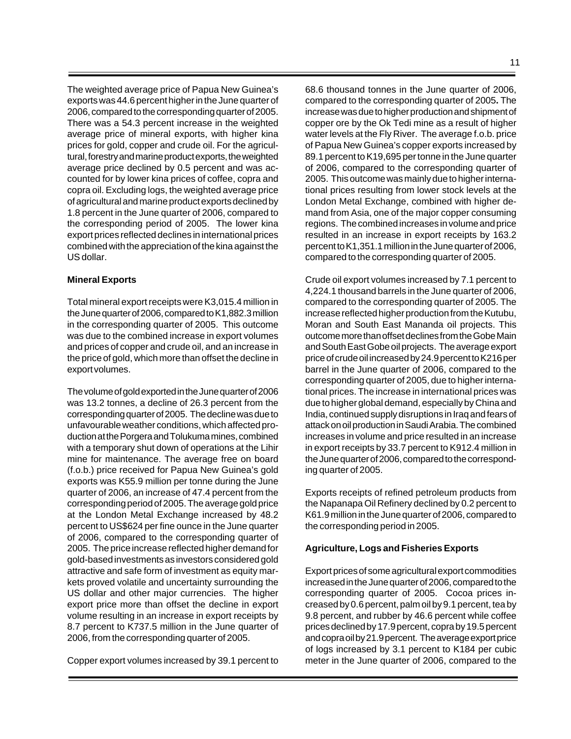The weighted average price of Papua New Guinea's exports was 44.6 percent higher in the June quarter of 2006, compared to the corresponding quarter of 2005. There was a 54.3 percent increase in the weighted average price of mineral exports, with higher kina prices for gold, copper and crude oil. For the agricultural, forestry and marine product exports, the weighted average price declined by 0.5 percent and was accounted for by lower kina prices of coffee, copra and copra oil. Excluding logs, the weighted average price of agricultural and marine product exports declined by 1.8 percent in the June quarter of 2006, compared to the corresponding period of 2005. The lower kina export prices reflected declines in international prices combined with the appreciation of the kina against the US dollar.

## **Mineral Exports**

Total mineral export receipts were K3,015.4 million in the June quarter of 2006, compared to K1,882.3 million in the corresponding quarter of 2005. This outcome was due to the combined increase in export volumes and prices of copper and crude oil, and an increase in the price of gold, which more than offset the decline in export volumes.

The volume of gold exported in the June quarter of 2006 was 13.2 tonnes, a decline of 26.3 percent from the corresponding quarter of 2005. The decline was due to unfavourable weather conditions, which affected production at the Porgera and Tolukuma mines, combined with a temporary shut down of operations at the Lihir mine for maintenance. The average free on board (f.o.b.) price received for Papua New Guinea's gold exports was K55.9 million per tonne during the June quarter of 2006, an increase of 47.4 percent from the corresponding period of 2005. The average gold price at the London Metal Exchange increased by 48.2 percent to US\$624 per fine ounce in the June quarter of 2006, compared to the corresponding quarter of 2005. The price increase reflected higher demand for gold-based investments as investors considered gold attractive and safe form of investment as equity markets proved volatile and uncertainty surrounding the US dollar and other major currencies. The higher export price more than offset the decline in export volume resulting in an increase in export receipts by 8.7 percent to K737.5 million in the June quarter of 2006, from the corresponding quarter of 2005.

Copper export volumes increased by 39.1 percent to

68.6 thousand tonnes in the June quarter of 2006, compared to the corresponding quarter of 2005**.** The increase was due to higher production and shipment of copper ore by the Ok Tedi mine as a result of higher water levels at the Fly River. The average f.o.b. price of Papua New Guinea's copper exports increased by 89.1 percent to K19,695 per tonne in the June quarter of 2006, compared to the corresponding quarter of 2005. This outcome was mainly due to higher international prices resulting from lower stock levels at the London Metal Exchange, combined with higher demand from Asia, one of the major copper consuming regions. The combined increases in volume and price resulted in an increase in export receipts by 163.2 percent to K1,351.1 million in the June quarter of 2006, compared to the corresponding quarter of 2005.

Crude oil export volumes increased by 7.1 percent to 4,224.1 thousand barrels in the June quarter of 2006, compared to the corresponding quarter of 2005. The increase reflected higher production from the Kutubu, Moran and South East Mananda oil projects. This outcome more than offset declines from the Gobe Main and South East Gobe oil projects. The average export price of crude oil increased by 24.9 percent to K216 per barrel in the June quarter of 2006, compared to the corresponding quarter of 2005, due to higher international prices. The increase in international prices was due to higher global demand, especially by China and India, continued supply disruptions in Iraq and fears of attack on oil production in Saudi Arabia. The combined increases in volume and price resulted in an increase in export receipts by 33.7 percent to K912.4 million in the June quarter of 2006, compared to the corresponding quarter of 2005.

Exports receipts of refined petroleum products from the Napanapa Oil Refinery declined by 0.2 percent to K61.9 million in the June quarter of 2006, compared to the corresponding period in 2005.

## **Agriculture, Logs and Fisheries Exports**

Export prices of some agricultural export commodities increased in the June quarter of 2006, compared to the corresponding quarter of 2005. Cocoa prices increased by 0.6 percent, palm oil by 9.1 percent, tea by 9.8 percent, and rubber by 46.6 percent while coffee prices declined by 17.9 percent, copra by 19.5 percent and copra oil by 21.9 percent. The average export price of logs increased by 3.1 percent to K184 per cubic meter in the June quarter of 2006, compared to the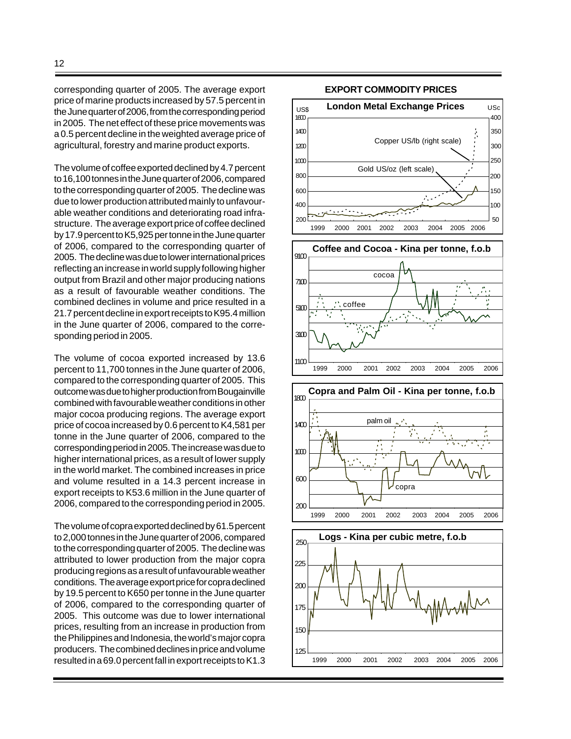corresponding quarter of 2005. The average export price of marine products increased by 57.5 percent in the June quarter of 2006, from the corresponding period in 2005. The net effect of these price movements was a 0.5 percent decline in the weighted average price of agricultural, forestry and marine product exports.

The volume of coffee exported declined by 4.7 percent to 16,100 tonnes in the June quarter of 2006, compared to the corresponding quarter of 2005. The decline was due to lower production attributed mainly to unfavourable weather conditions and deteriorating road infrastructure.The average export price of coffee declined by 17.9 percent to K5,925 per tonne in the June quarter of 2006, compared to the corresponding quarter of 2005. The decline was due to lower international prices reflecting an increase in world supply following higher output from Brazil and other major producing nations as a result of favourable weather conditions. The combined declines in volume and price resulted in a 21.7 percent decline in export receipts to K95.4 million in the June quarter of 2006, compared to the corresponding period in 2005.

The volume of cocoa exported increased by 13.6 percent to 11,700 tonnes in the June quarter of 2006, compared to the corresponding quarter of 2005. This outcome was due to higher production from Bougainville combined with favourable weather conditions in other major cocoa producing regions. The average export price of cocoa increased by 0.6 percent to K4,581 per tonne in the June quarter of 2006, compared to the corresponding period in 2005. The increase was due to higher international prices, as a result of lower supply in the world market. The combined increases in price and volume resulted in a 14.3 percent increase in export receipts to K53.6 million in the June quarter of 2006, compared to the corresponding period in 2005.

The volume of copra exported declined by 61.5 percent to 2,000 tonnes in the June quarter of 2006, compared to the corresponding quarter of 2005. The decline was attributed to lower production from the major copra producing regions as a result of unfavourable weather conditions. The average export price for copra declined by 19.5 percent to K650 per tonne in the June quarter of 2006, compared to the corresponding quarter of 2005. This outcome was due to lower international prices, resulting from an increase in production from the Philippines and Indonesia, the world's major copra producers. The combined declines in price and volume resulted in a 69.0 percent fall in export receipts to K1.3

#### **EXPORT COMMODITY PRICES**

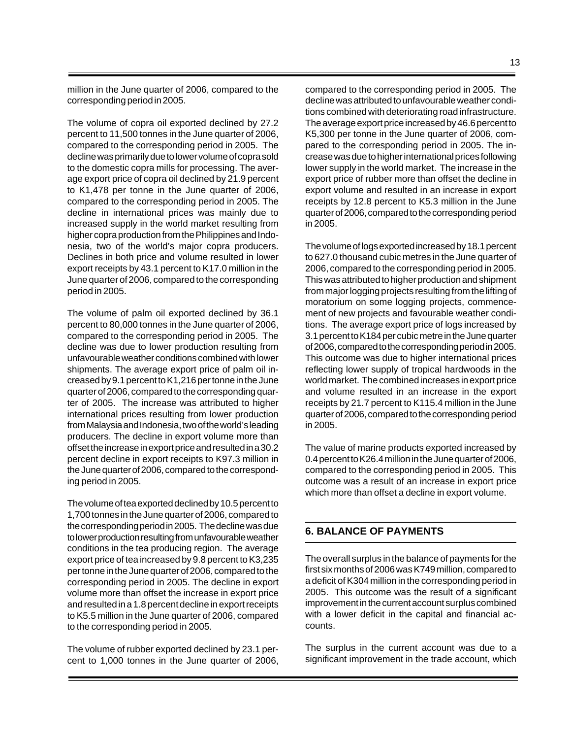million in the June quarter of 2006, compared to the corresponding period in 2005.

The volume of copra oil exported declined by 27.2 percent to 11,500 tonnes in the June quarter of 2006, compared to the corresponding period in 2005. The decline was primarily due to lower volume of copra sold to the domestic copra mills for processing. The average export price of copra oil declined by 21.9 percent to K1,478 per tonne in the June quarter of 2006, compared to the corresponding period in 2005. The decline in international prices was mainly due to increased supply in the world market resulting from higher copra production from the Philippines and Indonesia, two of the world's major copra producers. Declines in both price and volume resulted in lower export receipts by 43.1 percent to K17.0 million in the June quarter of 2006, compared to the corresponding period in 2005.

The volume of palm oil exported declined by 36.1 percent to 80,000 tonnes in the June quarter of 2006, compared to the corresponding period in 2005. The decline was due to lower production resulting from unfavourable weather conditions combined with lower shipments. The average export price of palm oil increased by 9.1 percent to K1,216 per tonne in the June quarter of 2006, compared to the corresponding quarter of 2005. The increase was attributed to higher international prices resulting from lower production from Malaysia and Indonesia, two of the world's leading producers. The decline in export volume more than offset the increase in export price and resulted in a 30.2 percent decline in export receipts to K97.3 million in the June quarter of 2006, compared to the corresponding period in 2005.

The volume of tea exported declined by 10.5 percent to 1,700 tonnes in the June quarter of 2006, compared to the corresponding period in 2005. The decline was due to lower production resulting from unfavourable weather conditions in the tea producing region. The average export price of tea increased by 9.8 percent to K3,235 per tonne in the June quarter of 2006, compared to the corresponding period in 2005. The decline in export volume more than offset the increase in export price and resulted in a 1.8 percent decline in export receipts to K5.5 million in the June quarter of 2006, compared to the corresponding period in 2005.

The volume of rubber exported declined by 23.1 percent to 1,000 tonnes in the June quarter of 2006,

compared to the corresponding period in 2005. The decline was attributed to unfavourable weather conditions combined with deteriorating road infrastructure. The average export price increased by 46.6 percent to K5,300 per tonne in the June quarter of 2006, compared to the corresponding period in 2005. The increase was due to higher international prices following lower supply in the world market. The increase in the export price of rubber more than offset the decline in export volume and resulted in an increase in export receipts by 12.8 percent to K5.3 million in the June quarter of 2006, compared to the corresponding period in 2005.

The volume of logs exported increased by 18.1 percent to 627.0 thousand cubic metres in the June quarter of 2006, compared to the corresponding period in 2005. This was attributed to higher production and shipment from major logging projects resulting from the lifting of moratorium on some logging projects, commencement of new projects and favourable weather conditions. The average export price of logs increased by 3.1 percent to K184 per cubic metre in the June quarter of 2006, compared to the corresponding period in 2005. This outcome was due to higher international prices reflecting lower supply of tropical hardwoods in the world market. The combined increases in export price and volume resulted in an increase in the export receipts by 21.7 percent to K115.4 million in the June quarter of 2006, compared to the corresponding period in 2005.

The value of marine products exported increased by 0.4 percent to K26.4 million in the June quarter of 2006, compared to the corresponding period in 2005. This outcome was a result of an increase in export price which more than offset a decline in export volume.

## **6. BALANCE OF PAYMENTS**

The overall surplus in the balance of payments for the first six months of 2006 was K749 million, compared to a deficit of K304 million in the corresponding period in 2005. This outcome was the result of a significant improvement in the current account surplus combined with a lower deficit in the capital and financial accounts.

The surplus in the current account was due to a significant improvement in the trade account, which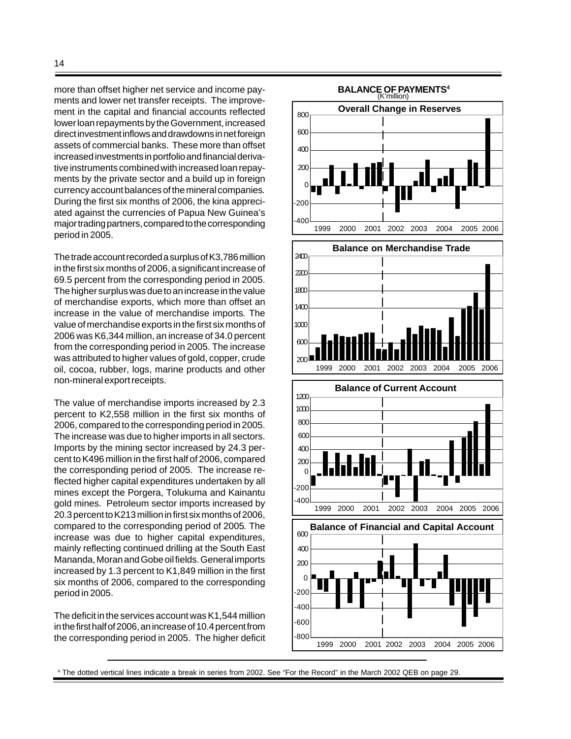more than offset higher net service and income payments and lower net transfer receipts.The improvement in the capital and financial accounts reflected lower loan repayments by the Government, increased direct investment inflows and drawdowns in net foreign assets of commercial banks. These more than offset increased investments in portfolio and financial derivative instruments combined with increased loan repayments by the private sector and a build up in foreign currency account balances of the mineral companies*.* During the first six months of 2006, the kina appreciated against the currencies of Papua New Guinea's major trading partners, compared to the corresponding period in 2005.

The trade account recorded a surplus of K3,786 million in the first six months of 2006, a significant increase of 69.5 percent from the corresponding period in 2005. The higher surplus was due to an increase in the value of merchandise exports, which more than offset an increase in the value of merchandise imports*.* The value of merchandise exports in the first six months of 2006 was K6,344 million, an increase of 34.0 percent from the corresponding period in 2005. The increase was attributed to higher values of gold, copper, crude oil, cocoa, rubber, logs, marine products and other non-mineral export receipts.

The value of merchandise imports increased by 2.3 percent to K2,558 million in the first six months of 2006, compared to the corresponding period in 2005. The increase was due to higher imports in all sectors. Imports by the mining sector increased by 24.3 percent to K496 million in the first half of 2006, compared the corresponding period of 2005.The increase reflected higher capital expenditures undertaken by all mines except the Porgera, Tolukuma and Kainantu gold mines. Petroleum sector imports increased by 20.3 percent to K213 million in first six months of 2006, compared to the corresponding period of 2005*.* The increase was due to higher capital expenditures, mainly reflecting continued drilling at the South East Mananda, Moran and Gobe oil fields. General imports increased by 1.3 percent to K1,849 million in the first six months of 2006, compared to the corresponding period in 2005.

The deficit in the services account was K1,544 million in the first half of 2006, an increase of 10.4 percent from the corresponding period in 2005. The higher deficit



4 The dotted vertical lines indicate a break in series from 2002. See "For the Record" in the March 2002 QEB on page 29.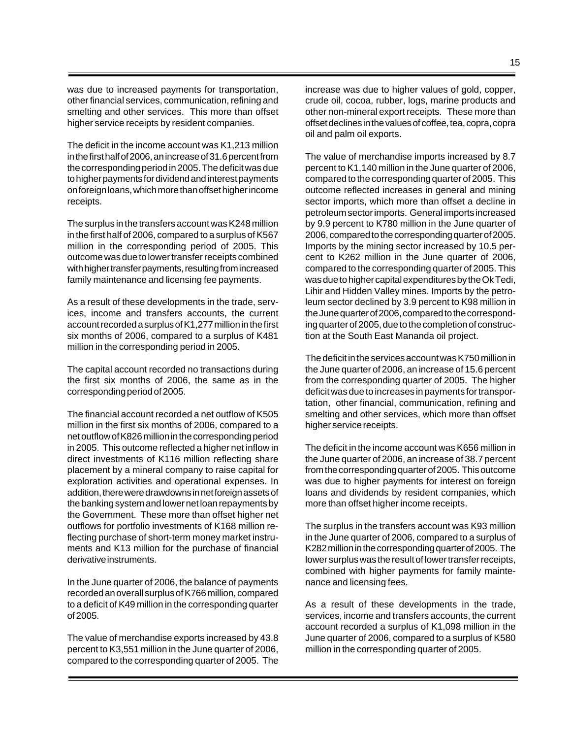was due to increased payments for transportation, other financial services, communication, refining and smelting and other services. This more than offset higher service receipts by resident companies.

The deficit in the income account was K1,213 million in the first half of 2006, an increase of 31.6 percent from the corresponding period in 2005. The deficit was due to higher payments for dividend and interest payments on foreign loans, which more than offset higher income receipts.

The surplus in the transfers account was K248 million in the first half of 2006, compared to a surplus of K567 million in the corresponding period of 2005. This outcome was due to lower transfer receipts combined with higher transfer payments, resulting from increased family maintenance and licensing fee payments.

As a result of these developments in the trade, services, income and transfers accounts, the current account recorded a surplus of K1,277 million in the first six months of 2006, compared to a surplus of K481 million in the corresponding period in 2005.

The capital account recorded no transactions during the first six months of 2006, the same as in the corresponding period of 2005.

The financial account recorded a net outflow of K505 million in the first six months of 2006, compared to a net outflow of K826 million in the corresponding period in 2005. This outcome reflected a higher net inflow in direct investments of K116 million reflecting share placement by a mineral company to raise capital for exploration activities and operational expenses. In addition, there were drawdowns in net foreign assets of the banking system and lower net loan repayments by the Government. These more than offset higher net outflows for portfolio investments of K168 million reflecting purchase of short-term money market instruments and K13 million for the purchase of financial derivative instruments.

In the June quarter of 2006, the balance of payments recorded an overall surplus of K766 million, compared to a deficit of K49 million in the corresponding quarter of 2005.

The value of merchandise exports increased by 43.8 percent to K3,551 million in the June quarter of 2006, compared to the corresponding quarter of 2005.The

increase was due to higher values of gold, copper, crude oil, cocoa, rubber, logs, marine products and other non-mineral export receipts. These more than offset declines in the values of coffee, tea, copra, copra oil and palm oil exports.

The value of merchandise imports increased by 8.7 percent to K1,140 million in the June quarter of 2006, compared to the corresponding quarter of 2005.This outcome reflected increases in general and mining sector imports, which more than offset a decline in petroleum sector imports. General imports increased by 9.9 percent to K780 million in the June quarter of 2006, compared to the corresponding quarter of 2005. Imports by the mining sector increased by 10.5 percent to K262 million in the June quarter of 2006, compared to the corresponding quarter of 2005. This was due to higher capital expenditures by the Ok Tedi, Lihir and Hidden Valley mines. Imports by the petroleum sector declined by 3.9 percent to K98 million in the June quarter of 2006, compared to the corresponding quarter of 2005, due to the completion of construction at the South East Mananda oil project.

The deficit in the services account was K750 million in the June quarter of 2006, an increase of 15.6 percent from the corresponding quarter of 2005.The higher deficit was due to increases in payments for transportation, other financial, communication, refining and smelting and other services, which more than offset higher service receipts.

The deficit in the income account was K656 million in the June quarter of 2006, an increase of 38.7 percent from the corresponding quarter of 2005. This outcome was due to higher payments for interest on foreign loans and dividends by resident companies, which more than offset higher income receipts.

The surplus in the transfers account was K93 million in the June quarter of 2006, compared to a surplus of K282 million in the corresponding quarter of 2005.The lower surplus was the result of lower transfer receipts, combined with higher payments for family maintenance and licensing fees.

As a result of these developments in the trade, services, income and transfers accounts, the current account recorded a surplus of K1,098 million in the June quarter of 2006, compared to a surplus of K580 million in the corresponding quarter of 2005.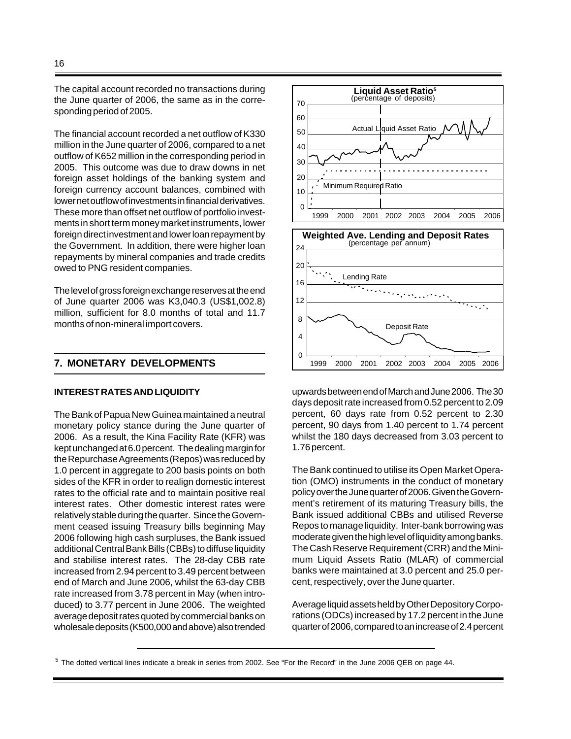The capital account recorded no transactions during the June quarter of 2006, the same as in the corresponding period of 2005.

The financial account recorded a net outflow of K330 million in the June quarter of 2006, compared to a net outflow of K652 million in the corresponding period in 2005.This outcome was due to draw downs in net foreign asset holdings of the banking system and foreign currency account balances, combined with lower net outflow of investments in financial derivatives. These more than offset net outflow of portfolio investments in short term money market instruments, lower foreign direct investment and lower loan repayment by the Government. In addition, there were higher loan repayments by mineral companies and trade credits owed to PNG resident companies.

The level of gross foreign exchange reserves at the end of June quarter 2006 was K3,040.3 (US\$1,002.8) million, sufficient for 8.0 months of total and 11.7 months of non-mineral import covers.

## **7. MONETARY DEVELOPMENTS**

#### **INTEREST RATES AND LIQUIDITY**

The Bank of Papua New Guinea maintained a neutral monetary policy stance during the June quarter of 2006. As a result, the Kina Facility Rate (KFR) was kept unchanged at 6.0 percent. The dealing margin for the Repurchase Agreements (Repos) was reduced by 1.0 percent in aggregate to 200 basis points on both sides of the KFR in order to realign domestic interest rates to the official rate and to maintain positive real interest rates. Other domestic interest rates were relatively stable during the quarter. Since the Government ceased issuing Treasury bills beginning May 2006 following high cash surpluses, the Bank issued additional Central Bank Bills (CBBs) to diffuse liquidity and stabilise interest rates. The 28-day CBB rate increased from 2.94 percent to 3.49 percent between end of March and June 2006, whilst the 63-day CBB rate increased from 3.78 percent in May (when introduced) to 3.77 percent in June 2006. The weighted average deposit rates quoted by commercial banks on wholesale deposits (K500,000 and above) also trended



upwards between end of March and June 2006. The 30 days deposit rate increased from 0.52 percent to 2.09 percent, 60 days rate from 0.52 percent to 2.30 percent, 90 days from 1.40 percent to 1.74 percent whilst the 180 days decreased from 3.03 percent to 1.76 percent.

The Bank continued to utilise its Open Market Operation (OMO) instruments in the conduct of monetary policy over the June quarter of 2006. Given the Government's retirement of its maturing Treasury bills, the Bank issued additional CBBs and utilised Reverse Repos to manage liquidity. Inter-bank borrowing was moderate given the high level of liquidity among banks. The Cash Reserve Requirement (CRR) and the Minimum Liquid Assets Ratio (MLAR) of commercial banks were maintained at 3.0 percent and 25.0 percent, respectively, over the June quarter.

Average liquid assets held by Other Depository Corporations (ODCs) increased by 17.2 percent in the June quarter of 2006, compared to an increase of 2.4 percent

 $5$  The dotted vertical lines indicate a break in series from 2002. See "For the Record" in the June 2006 QEB on page 44.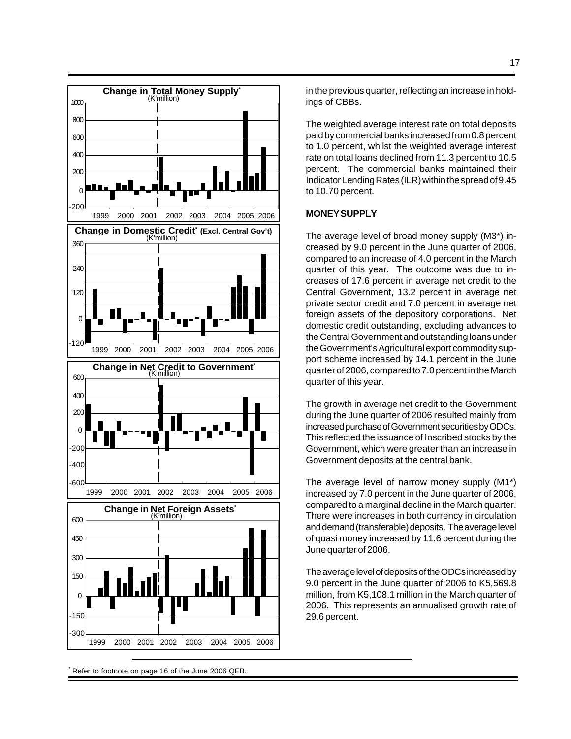

\* Refer to footnote on page 16 of the June 2006 QEB.

in the previous quarter, reflecting an increase in holdings of CBBs.

The weighted average interest rate on total deposits paid by commercial banks increased from 0.8 percent to 1.0 percent, whilst the weighted average interest rate on total loans declined from 11.3 percent to 10.5 percent. The commercial banks maintained their Indicator Lending Rates (ILR) within the spread of 9.45 to 10.70 percent.

#### **MONEY SUPPLY**

The average level of broad money supply (M3\*) increased by 9.0 percent in the June quarter of 2006, compared to an increase of 4.0 percent in the March quarter of this year. The outcome was due to increases of 17.6 percent in average net credit to the Central Government, 13.2 percent in average net private sector credit and 7.0 percent in average net foreign assets of the depository corporations. Net domestic credit outstanding, excluding advances to the Central Government and outstanding loans under the Government's Agricultural export commodity support scheme increased by 14.1 percent in the June quarter of 2006, compared to 7.0 percent in the March quarter of this year.

The growth in average net credit to the Government during the June quarter of 2006 resulted mainly from increased purchase of Government securities by ODCs. This reflected the issuance of Inscribed stocks by the Government, which were greater than an increase in Government deposits at the central bank.

The average level of narrow money supply (M1\*) increased by 7.0 percent in the June quarter of 2006, compared to a marginal decline in the March quarter. There were increases in both currency in circulation and demand (transferable) deposits. The average level of quasi money increased by 11.6 percent during the June quarter of 2006.

The average level of deposits of the ODCs increased by 9.0 percent in the June quarter of 2006 to K5,569.8 million, from K5,108.1 million in the March quarter of 2006. This represents an annualised growth rate of 29.6 percent.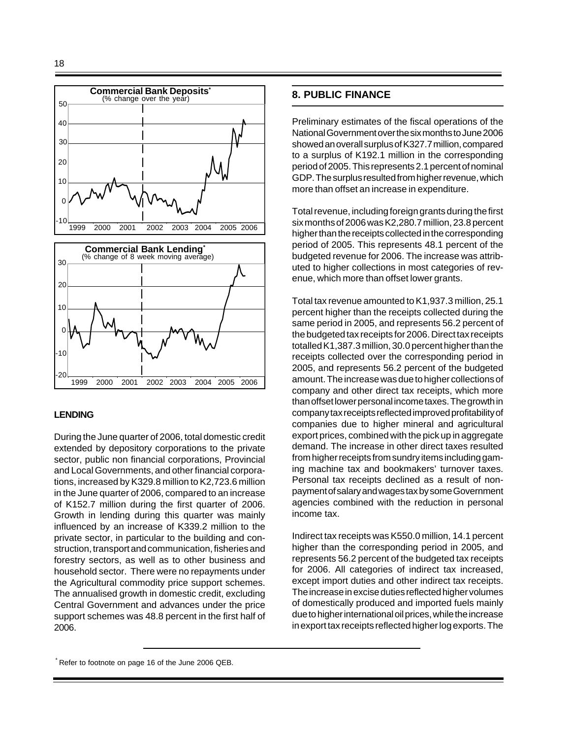

#### **LENDING**

During the June quarter of 2006, total domestic credit extended by depository corporations to the private sector, public non financial corporations, Provincial and Local Governments, and other financial corporations, increased by K329.8 million to K2,723.6 million in the June quarter of 2006, compared to an increase of K152.7 million during the first quarter of 2006. Growth in lending during this quarter was mainly influenced by an increase of K339.2 million to the private sector, in particular to the building and construction, transport and communication, fisheries and forestry sectors, as well as to other business and household sector. There were no repayments under the Agricultural commodity price support schemes. The annualised growth in domestic credit, excluding Central Government and advances under the price support schemes was 48.8 percent in the first half of 2006.

## **8. PUBLIC FINANCE**

Preliminary estimates of the fiscal operations of the National Government over the six months to June 2006 showed an overall surplus of K327.7 million, compared to a surplus of K192.1 million in the corresponding period of 2005. This represents 2.1 percent of nominal GDP. The surplus resulted from higher revenue, which more than offset an increase in expenditure.

Total revenue, including foreign grants during the first six months of 2006 was K2,280.7 million, 23.8 percent higher than the receipts collected in the corresponding period of 2005. This represents 48.1 percent of the budgeted revenue for 2006. The increase was attributed to higher collections in most categories of revenue, which more than offset lower grants.

Total tax revenue amounted to K1,937.3 million, 25.1 percent higher than the receipts collected during the same period in 2005, and represents 56.2 percent of the budgeted tax receipts for 2006. Direct tax receipts totalled K1,387.3 million, 30.0 percent higher than the receipts collected over the corresponding period in 2005, and represents 56.2 percent of the budgeted amount. The increase was due to higher collections of company and other direct tax receipts, which more than offset lower personal income taxes. The growth in company tax receipts reflected improved profitability of companies due to higher mineral and agricultural export prices, combined with the pick up in aggregate demand. The increase in other direct taxes resulted from higher receipts from sundry items including gaming machine tax and bookmakers' turnover taxes. Personal tax receipts declined as a result of nonpayment of salary and wages tax by some Government agencies combined with the reduction in personal income tax.

Indirect tax receipts was K550.0 million, 14.1 percent higher than the corresponding period in 2005, and represents 56.2 percent of the budgeted tax receipts for 2006. All categories of indirect tax increased, except import duties and other indirect tax receipts. The increase in excise duties reflected higher volumes of domestically produced and imported fuels mainly due to higher international oil prices, while the increase in export tax receipts reflected higher log exports. The

<sup>\*</sup> Refer to footnote on page 16 of the June 2006 QEB.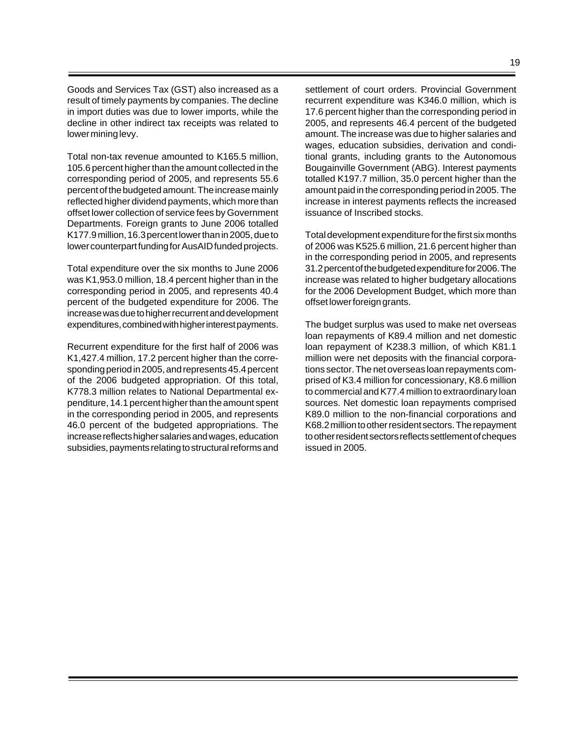Goods and Services Tax (GST) also increased as a result of timely payments by companies. The decline in import duties was due to lower imports, while the decline in other indirect tax receipts was related to lower mining levy.

Total non-tax revenue amounted to K165.5 million, 105.6 percent higher than the amount collected in the corresponding period of 2005, and represents 55.6 percent of the budgeted amount. The increase mainly reflected higher dividend payments, which more than offset lower collection of service fees by Government Departments. Foreign grants to June 2006 totalled K177.9 million, 16.3 percent lower than in 2005, due to lower counterpart funding for AusAID funded projects.

Total expenditure over the six months to June 2006 was K1,953.0 million, 18.4 percent higher than in the corresponding period in 2005, and represents 40.4 percent of the budgeted expenditure for 2006. The increase was due to higher recurrent and development expenditures, combined with higher interest payments.

Recurrent expenditure for the first half of 2006 was K1,427.4 million, 17.2 percent higher than the corresponding period in 2005, and represents 45.4 percent of the 2006 budgeted appropriation. Of this total, K778.3 million relates to National Departmental expenditure, 14.1 percent higher than the amount spent in the corresponding period in 2005, and represents 46.0 percent of the budgeted appropriations. The increase reflects higher salaries and wages, education subsidies, payments relating to structural reforms and

settlement of court orders. Provincial Government recurrent expenditure was K346.0 million, which is 17.6 percent higher than the corresponding period in 2005, and represents 46.4 percent of the budgeted amount. The increase was due to higher salaries and wages, education subsidies, derivation and conditional grants, including grants to the Autonomous Bougainville Government (ABG). Interest payments totalled K197.7 million, 35.0 percent higher than the amount paid in the corresponding period in 2005. The increase in interest payments reflects the increased issuance of Inscribed stocks.

Total development expenditure for the first six months of 2006 was K525.6 million, 21.6 percent higher than in the corresponding period in 2005, and represents 31.2 percent of the budgeted expenditure for 2006. The increase was related to higher budgetary allocations for the 2006 Development Budget, which more than offset lower foreign grants.

The budget surplus was used to make net overseas loan repayments of K89.4 million and net domestic loan repayment of K238.3 million, of which K81.1 million were net deposits with the financial corporations sector. The net overseas loan repayments comprised of K3.4 million for concessionary, K8.6 million to commercial and K77.4 million to extraordinary loan sources. Net domestic loan repayments comprised K89.0 million to the non-financial corporations and K68.2 million to other resident sectors. The repayment to other resident sectors reflects settlement of cheques issued in 2005.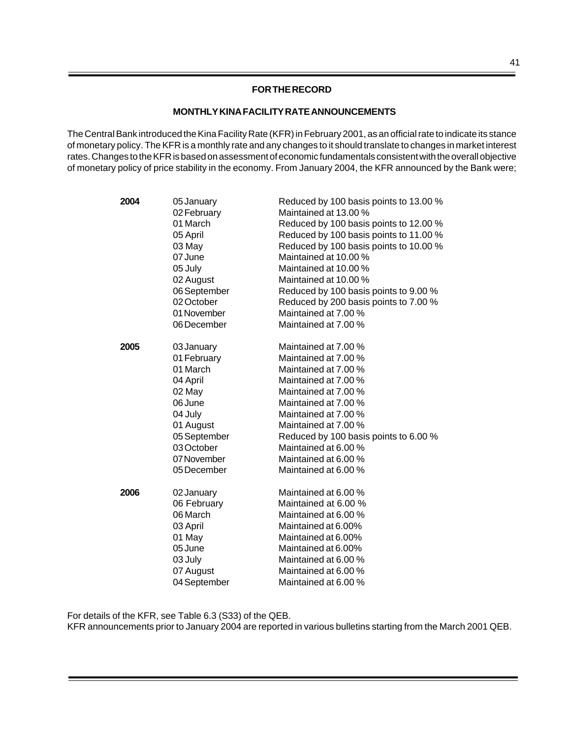## **FOR THE RECORD**

#### **MONTHLY KINA FACILITY RATE ANNOUNCEMENTS**

The Central Bank introduced the Kina Facility Rate (KFR) in February 2001, as an official rate to indicate its stance of monetary policy. The KFR is a monthly rate and any changes to it should translate to changes in market interest rates. Changes to the KFR is based on assessment of economic fundamentals consistent with the overall objective of monetary policy of price stability in the economy. From January 2004, the KFR announced by the Bank were;

| 2004 | 05 January   | Reduced by 100 basis points to 13.00 % |
|------|--------------|----------------------------------------|
|      | 02 February  | Maintained at 13.00 %                  |
|      | 01 March     | Reduced by 100 basis points to 12.00 % |
|      | 05 April     | Reduced by 100 basis points to 11.00 % |
|      | 03 May       | Reduced by 100 basis points to 10.00 % |
|      | 07 June      | Maintained at 10.00 %                  |
|      | 05 July      | Maintained at 10.00 %                  |
|      | 02 August    | Maintained at 10.00 %                  |
|      | 06 September | Reduced by 100 basis points to 9.00 %  |
|      | 02 October   | Reduced by 200 basis points to 7.00 %  |
|      | 01 November  | Maintained at 7.00 %                   |
|      | 06 December  | Maintained at 7.00 %                   |
| 2005 | 03 January   | Maintained at 7.00 %                   |
|      | 01 February  | Maintained at 7.00 %                   |
|      | 01 March     | Maintained at 7.00 %                   |
|      | 04 April     | Maintained at 7.00 %                   |
|      | 02 May       | Maintained at 7.00 %                   |
|      | 06 June      | Maintained at 7.00 %                   |
|      | 04 July      | Maintained at 7.00 %                   |
|      | 01 August    | Maintained at 7.00 %                   |
|      | 05 September | Reduced by 100 basis points to 6.00 %  |
|      | 03 October   | Maintained at 6.00 %                   |
|      | 07 November  | Maintained at 6.00 %                   |
|      | 05 December  | Maintained at 6.00 %                   |
| 2006 | 02 January   | Maintained at 6.00 %                   |
|      | 06 February  | Maintained at 6.00 %                   |
|      | 06 March     | Maintained at 6.00 %                   |
|      | 03 April     | Maintained at 6.00%                    |
|      | 01 May       | Maintained at 6.00%                    |
|      | 05 June      | Maintained at 6.00%                    |
|      | 03 July      | Maintained at 6.00 %                   |
|      | 07 August    | Maintained at 6.00 %                   |
|      | 04 September | Maintained at 6.00 %                   |

For details of the KFR, see Table 6.3 (S33) of the QEB.

KFR announcements prior to January 2004 are reported in various bulletins starting from the March 2001 QEB.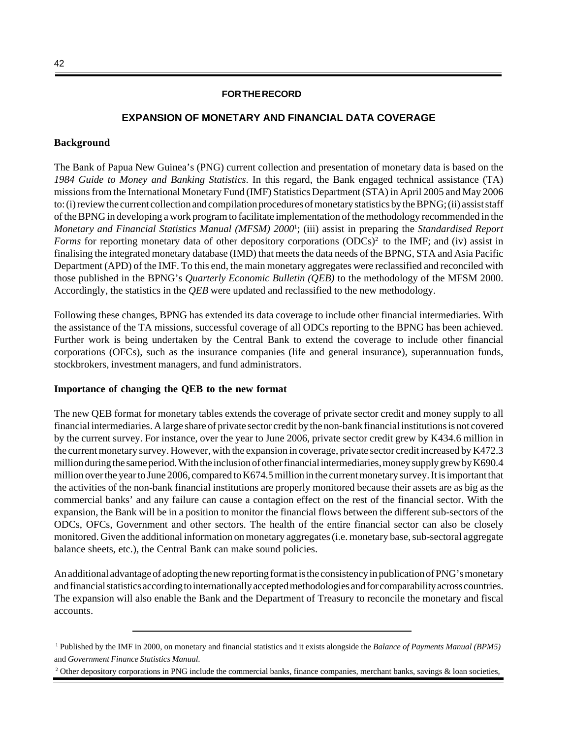#### **FOR THE RECORD**

## **EXPANSION OF MONETARY AND FINANCIAL DATA COVERAGE**

#### **Background**

The Bank of Papua New Guinea's (PNG) current collection and presentation of monetary data is based on the *1984 Guide to Money and Banking Statistics*. In this regard, the Bank engaged technical assistance (TA) missions from the International Monetary Fund (IMF) Statistics Department (STA) in April 2005 and May 2006 to: (i) review the current collection and compilation procedures of monetary statistics by the BPNG; (ii) assist staff of the BPNG in developing a work program to facilitate implementation of the methodology recommended in the *Monetary and Financial Statistics Manual (MFSM) 2000*<sup>1</sup> ; (iii) assist in preparing the *Standardised Report Forms* for reporting monetary data of other depository corporations (ODCs)<sup>2</sup> to the IMF; and (iv) assist in finalising the integrated monetary database (IMD) that meets the data needs of the BPNG, STA and Asia Pacific Department (APD) of the IMF. To this end, the main monetary aggregates were reclassified and reconciled with those published in the BPNG's *Quarterly Economic Bulletin (QEB)* to the methodology of the MFSM 2000. Accordingly, the statistics in the *QEB* were updated and reclassified to the new methodology.

Following these changes, BPNG has extended its data coverage to include other financial intermediaries. With the assistance of the TA missions, successful coverage of all ODCs reporting to the BPNG has been achieved. Further work is being undertaken by the Central Bank to extend the coverage to include other financial corporations (OFCs), such as the insurance companies (life and general insurance), superannuation funds, stockbrokers, investment managers, and fund administrators.

#### **Importance of changing the QEB to the new format**

The new QEB format for monetary tables extends the coverage of private sector credit and money supply to all financial intermediaries. A large share of private sector credit by the non-bank financial institutions is not covered by the current survey. For instance, over the year to June 2006, private sector credit grew by K434.6 million in the current monetary survey. However, with the expansion in coverage, private sector credit increased by K472.3 million during the same period. With the inclusion of other financial intermediaries, money supply grew by K690.4 million over the year to June 2006, compared to K674.5 million in the current monetary survey. It is important that the activities of the non-bank financial institutions are properly monitored because their assets are as big as the commercial banks' and any failure can cause a contagion effect on the rest of the financial sector. With the expansion, the Bank will be in a position to monitor the financial flows between the different sub-sectors of the ODCs, OFCs, Government and other sectors. The health of the entire financial sector can also be closely monitored. Given the additional information on monetary aggregates (i.e. monetary base, sub-sectoral aggregate balance sheets, etc.), the Central Bank can make sound policies.

An additional advantage of adopting the new reporting format is the consistency in publication of PNG's monetary and financial statistics according to internationally accepted methodologies and for comparability across countries. The expansion will also enable the Bank and the Department of Treasury to reconcile the monetary and fiscal accounts.

<sup>1</sup> Published by the IMF in 2000, on monetary and financial statistics and it exists alongside the *Balance of Payments Manual (BPM5)* and *Government Finance Statistics Manual*.

<sup>&</sup>lt;sup>2</sup> Other depository corporations in PNG include the commercial banks, finance companies, merchant banks, savings & loan societies,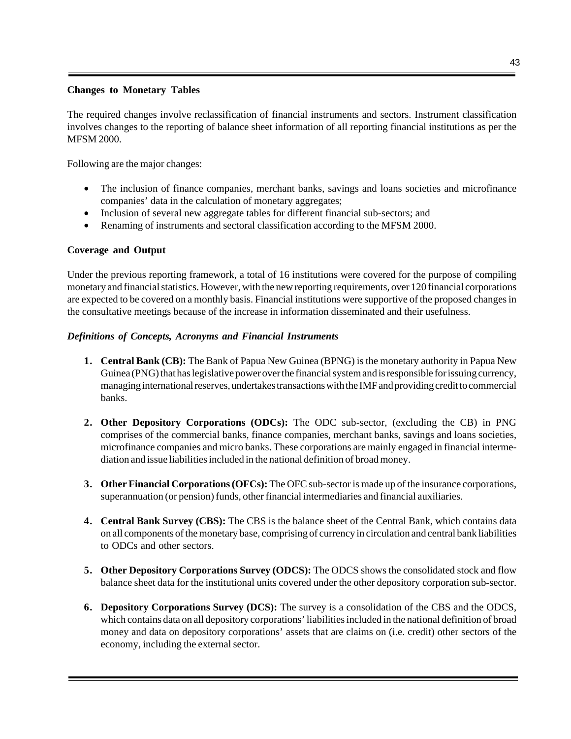## **Changes to Monetary Tables**

The required changes involve reclassification of financial instruments and sectors. Instrument classification involves changes to the reporting of balance sheet information of all reporting financial institutions as per the MFSM 2000.

Following are the major changes:

- The inclusion of finance companies, merchant banks, savings and loans societies and microfinance companies' data in the calculation of monetary aggregates;
- Inclusion of several new aggregate tables for different financial sub-sectors; and
- Renaming of instruments and sectoral classification according to the MFSM 2000.

## **Coverage and Output**

Under the previous reporting framework, a total of 16 institutions were covered for the purpose of compiling monetary and financial statistics. However, with the new reporting requirements, over 120 financial corporations are expected to be covered on a monthly basis. Financial institutions were supportive of the proposed changes in the consultative meetings because of the increase in information disseminated and their usefulness.

## *Definitions of Concepts, Acronyms and Financial Instruments*

- **1. Central Bank (CB):** The Bank of Papua New Guinea (BPNG) is the monetary authority in Papua New Guinea (PNG) that has legislative power over the financial system and is responsible for issuing currency, managing international reserves, undertakes transactions with the IMF and providing credit to commercial banks.
- **2. Other Depository Corporations (ODCs):** The ODC sub-sector, (excluding the CB) in PNG comprises of the commercial banks, finance companies, merchant banks, savings and loans societies, microfinance companies and micro banks. These corporations are mainly engaged in financial intermediation and issue liabilities included in the national definition of broad money.
- **3. Other Financial Corporations (OFCs):** The OFC sub-sector is made up of the insurance corporations, superannuation (or pension) funds, other financial intermediaries and financial auxiliaries.
- **4. Central Bank Survey (CBS):** The CBS is the balance sheet of the Central Bank, which contains data on all components of the monetary base, comprising of currency in circulation and central bank liabilities to ODCs and other sectors.
- **5. Other Depository Corporations Survey (ODCS):** The ODCS shows the consolidated stock and flow balance sheet data for the institutional units covered under the other depository corporation sub-sector.
- **6. Depository Corporations Survey (DCS):** The survey is a consolidation of the CBS and the ODCS, which contains data on all depository corporations' liabilities included in the national definition of broad money and data on depository corporations' assets that are claims on (i.e. credit) other sectors of the economy, including the external sector.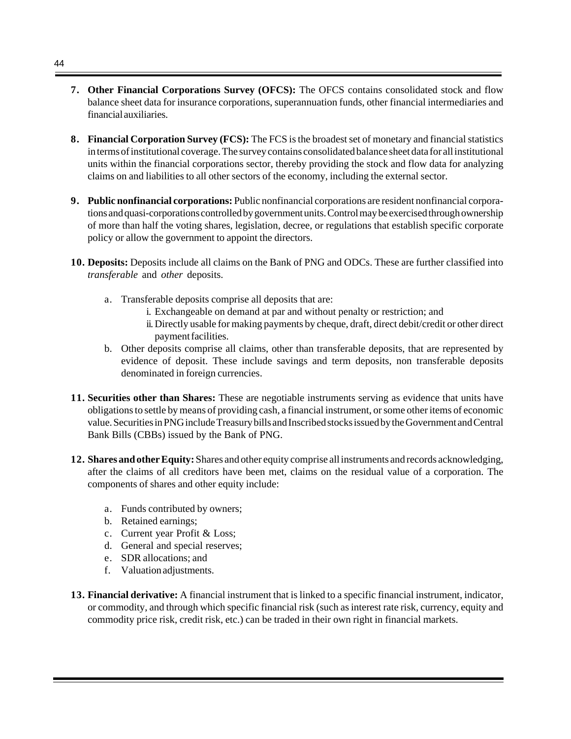- **7. Other Financial Corporations Survey (OFCS):** The OFCS contains consolidated stock and flow balance sheet data for insurance corporations, superannuation funds, other financial intermediaries and financial auxiliaries.
- **8. Financial Corporation Survey (FCS):** The FCS is the broadest set of monetary and financial statistics in terms of institutional coverage. The survey contains consolidated balance sheet data for all institutional units within the financial corporations sector, thereby providing the stock and flow data for analyzing claims on and liabilities to all other sectors of the economy, including the external sector.
- **9. Public nonfinancial corporations:** Public nonfinancial corporations are resident nonfinancial corporations and quasi-corporations controlled by government units. Control may be exercised through ownership of more than half the voting shares, legislation, decree, or regulations that establish specific corporate policy or allow the government to appoint the directors.
- **10. Deposits:** Deposits include all claims on the Bank of PNG and ODCs. These are further classified into *transferable* and *other* deposits.
	- a. Transferable deposits comprise all deposits that are:
		- i. Exchangeable on demand at par and without penalty or restriction; and
		- ii. Directly usable for making payments by cheque, draft, direct debit/credit or other direct payment facilities.
	- b. Other deposits comprise all claims, other than transferable deposits, that are represented by evidence of deposit. These include savings and term deposits, non transferable deposits denominated in foreign currencies.
- **11. Securities other than Shares:** These are negotiable instruments serving as evidence that units have obligations to settle by means of providing cash, a financial instrument, or some other items of economic value. Securities in PNG include Treasury bills and Inscribed stocks issued by the Government and Central Bank Bills (CBBs) issued by the Bank of PNG.
- **12. Shares and other Equity:** Shares and other equity comprise all instruments and records acknowledging, after the claims of all creditors have been met, claims on the residual value of a corporation. The components of shares and other equity include:
	- a. Funds contributed by owners;
	- b. Retained earnings;
	- c. Current year Profit & Loss;
	- d. General and special reserves;
	- e. SDR allocations; and
	- f. Valuation adjustments.
- **13. Financial derivative:** A financial instrument that is linked to a specific financial instrument, indicator, or commodity, and through which specific financial risk (such as interest rate risk, currency, equity and commodity price risk, credit risk, etc.) can be traded in their own right in financial markets.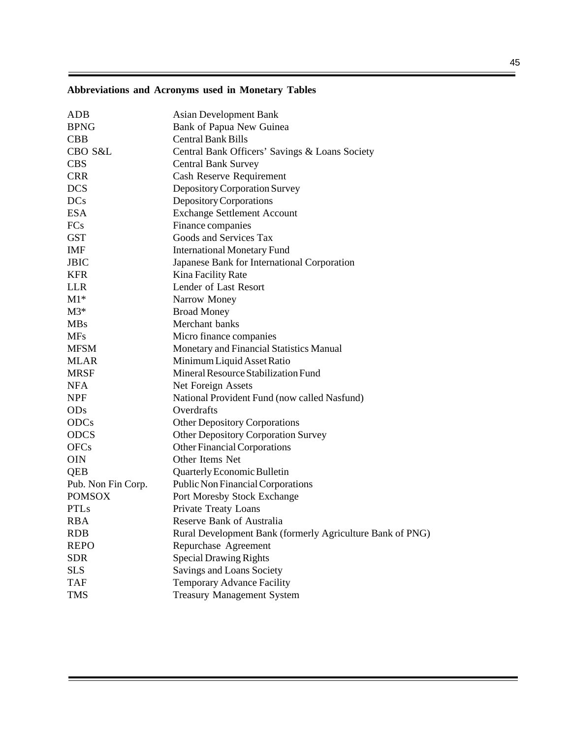# **Abbreviations and Acronyms used in Monetary Tables**

| <b>Asian Development Bank</b>                             |
|-----------------------------------------------------------|
| Bank of Papua New Guinea                                  |
| <b>Central Bank Bills</b>                                 |
| Central Bank Officers' Savings & Loans Society            |
| <b>Central Bank Survey</b>                                |
| Cash Reserve Requirement                                  |
| Depository Corporation Survey                             |
| Depository Corporations                                   |
| <b>Exchange Settlement Account</b>                        |
| Finance companies                                         |
| Goods and Services Tax                                    |
| <b>International Monetary Fund</b>                        |
| Japanese Bank for International Corporation               |
| Kina Facility Rate                                        |
| Lender of Last Resort                                     |
| Narrow Money                                              |
| <b>Broad Money</b>                                        |
| Merchant banks                                            |
| Micro finance companies                                   |
| Monetary and Financial Statistics Manual                  |
| Minimum Liquid Asset Ratio                                |
| Mineral Resource Stabilization Fund                       |
| Net Foreign Assets                                        |
| National Provident Fund (now called Nasfund)              |
| Overdrafts                                                |
| <b>Other Depository Corporations</b>                      |
| <b>Other Depository Corporation Survey</b>                |
| <b>Other Financial Corporations</b>                       |
| Other Items Net                                           |
| <b>Quarterly Economic Bulletin</b>                        |
| <b>Public Non Financial Corporations</b>                  |
| Port Moresby Stock Exchange                               |
| Private Treaty Loans                                      |
| Reserve Bank of Australia                                 |
| Rural Development Bank (formerly Agriculture Bank of PNG) |
| Repurchase Agreement                                      |
| <b>Special Drawing Rights</b>                             |
| Savings and Loans Society                                 |
| Temporary Advance Facility                                |
| <b>Treasury Management System</b>                         |
|                                                           |

Ξ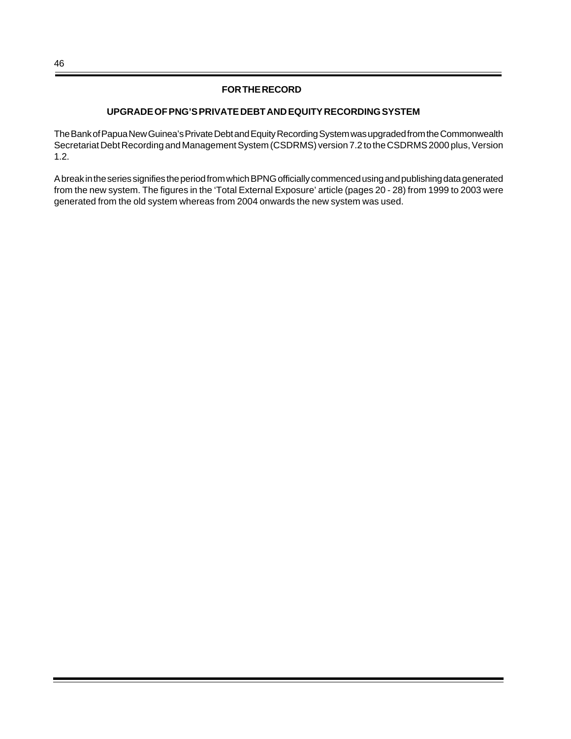## **FOR THE RECORD**

## **UPGRADE OF PNG'S PRIVATE DEBT AND EQUITY RECORDING SYSTEM**

The Bank of Papua New Guinea's Private Debt and Equity Recording System was upgraded from the Commonwealth Secretariat Debt Recording and Management System (CSDRMS) version 7.2 to the CSDRMS 2000 plus, Version 1.2.

A break in the series signifies the period from which BPNG officially commenced using and publishing data generated from the new system. The figures in the 'Total External Exposure' article (pages 20 - 28) from 1999 to 2003 were generated from the old system whereas from 2004 onwards the new system was used.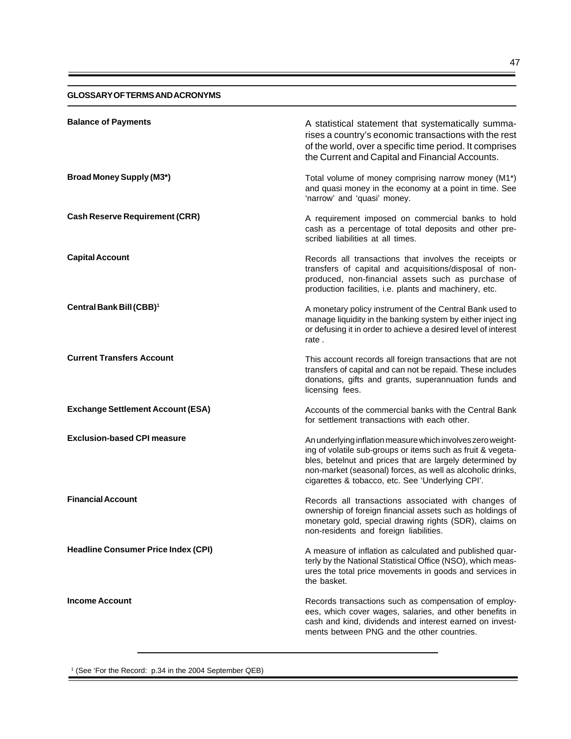#### **GLOSSARY OF TERMS AND ACRONYMS**

| Total volume of money comprising narrow money (M1*)<br>and quasi money in the economy at a point in time. See<br>'narrow' and 'quasi' money.<br>A requirement imposed on commercial banks to hold<br>cash as a percentage of total deposits and other pre-                                               |
|----------------------------------------------------------------------------------------------------------------------------------------------------------------------------------------------------------------------------------------------------------------------------------------------------------|
|                                                                                                                                                                                                                                                                                                          |
| scribed liabilities at all times.                                                                                                                                                                                                                                                                        |
| Records all transactions that involves the receipts or<br>transfers of capital and acquisitions/disposal of non-<br>produced, non-financial assets such as purchase of<br>production facilities, i.e. plants and machinery, etc.                                                                         |
| A monetary policy instrument of the Central Bank used to<br>manage liquidity in the banking system by either inject ing<br>or defusing it in order to achieve a desired level of interest                                                                                                                |
| This account records all foreign transactions that are not<br>transfers of capital and can not be repaid. These includes<br>donations, gifts and grants, superannuation funds and<br>licensing fees.                                                                                                     |
| Accounts of the commercial banks with the Central Bank<br>for settlement transactions with each other.                                                                                                                                                                                                   |
| An underlying inflation measure which involves zero weight-<br>ing of volatile sub-groups or items such as fruit & vegeta-<br>bles, betelnut and prices that are largely determined by<br>non-market (seasonal) forces, as well as alcoholic drinks,<br>cigarettes & tobacco, etc. See 'Underlying CPI'. |
| Records all transactions associated with changes of<br>ownership of foreign financial assets such as holdings of<br>monetary gold, special drawing rights (SDR), claims on<br>non-residents and foreign liabilities.                                                                                     |
| A measure of inflation as calculated and published quar-<br>terly by the National Statistical Office (NSO), which meas-<br>ures the total price movements in goods and services in<br>the basket.                                                                                                        |
| Records transactions such as compensation of employ-<br>ees, which cover wages, salaries, and other benefits in<br>cash and kind, dividends and interest earned on invest-<br>ments between PNG and the other countries.                                                                                 |
|                                                                                                                                                                                                                                                                                                          |

1 (See 'For the Record: p.34 in the 2004 September QEB)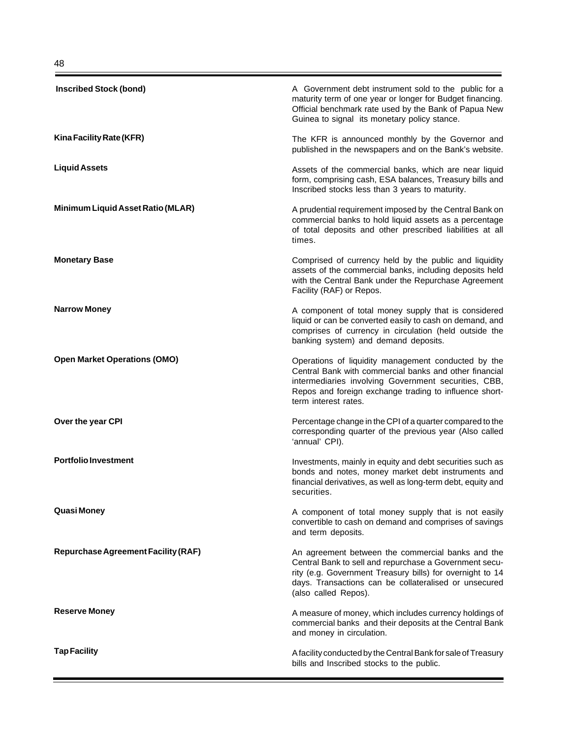| <b>Inscribed Stock (bond)</b>       | A Government debt instrument sold to the public for a<br>maturity term of one year or longer for Budget financing.<br>Official benchmark rate used by the Bank of Papua New<br>Guinea to signal its monetary policy stance.                               |
|-------------------------------------|-----------------------------------------------------------------------------------------------------------------------------------------------------------------------------------------------------------------------------------------------------------|
| Kina Facility Rate (KFR)            | The KFR is announced monthly by the Governor and<br>published in the newspapers and on the Bank's website.                                                                                                                                                |
| <b>Liquid Assets</b>                | Assets of the commercial banks, which are near liquid<br>form, comprising cash, ESA balances, Treasury bills and<br>Inscribed stocks less than 3 years to maturity.                                                                                       |
| Minimum Liquid Asset Ratio (MLAR)   | A prudential requirement imposed by the Central Bank on<br>commercial banks to hold liquid assets as a percentage<br>of total deposits and other prescribed liabilities at all<br>times.                                                                  |
| <b>Monetary Base</b>                | Comprised of currency held by the public and liquidity<br>assets of the commercial banks, including deposits held<br>with the Central Bank under the Repurchase Agreement<br>Facility (RAF) or Repos.                                                     |
| <b>Narrow Money</b>                 | A component of total money supply that is considered<br>liquid or can be converted easily to cash on demand, and<br>comprises of currency in circulation (held outside the<br>banking system) and demand deposits.                                        |
| <b>Open Market Operations (OMO)</b> | Operations of liquidity management conducted by the<br>Central Bank with commercial banks and other financial<br>intermediaries involving Government securities, CBB,<br>Repos and foreign exchange trading to influence short-<br>term interest rates.   |
| Over the year CPI                   | Percentage change in the CPI of a quarter compared to the<br>corresponding quarter of the previous year (Also called<br>'annual' CPI).                                                                                                                    |
| <b>Portfolio Investment</b>         | Investments, mainly in equity and debt securities such as<br>bonds and notes, money market debt instruments and<br>financial derivatives, as well as long-term debt, equity and<br>securities.                                                            |
| Quasi Money                         | A component of total money supply that is not easily<br>convertible to cash on demand and comprises of savings<br>and term deposits.                                                                                                                      |
| Repurchase Agreement Facility (RAF) | An agreement between the commercial banks and the<br>Central Bank to sell and repurchase a Government secu-<br>rity (e.g. Government Treasury bills) for overnight to 14<br>days. Transactions can be collateralised or unsecured<br>(also called Repos). |
| <b>Reserve Money</b>                | A measure of money, which includes currency holdings of<br>commercial banks and their deposits at the Central Bank<br>and money in circulation.                                                                                                           |
| <b>Tap Facility</b>                 | A facility conducted by the Central Bank for sale of Treasury<br>bills and Inscribed stocks to the public.                                                                                                                                                |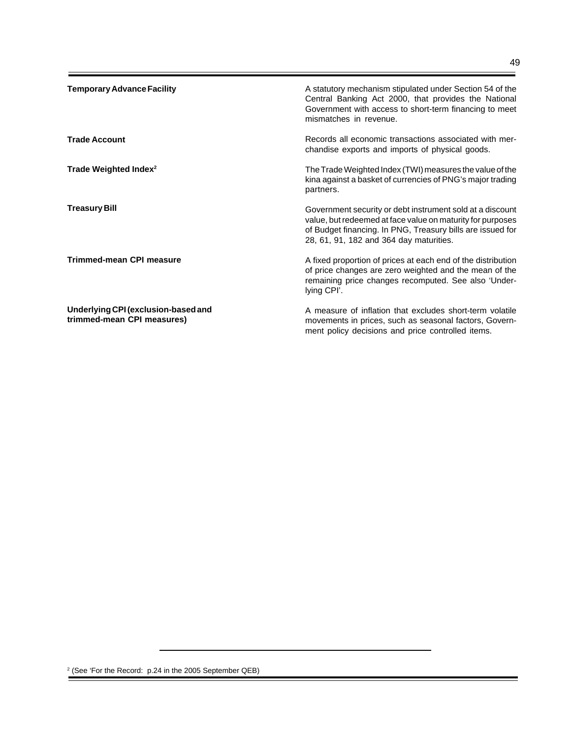| <b>Temporary Advance Facility</b>                                 | A statutory mechanism stipulated under Section 54 of the<br>Central Banking Act 2000, that provides the National<br>Government with access to short-term financing to meet<br>mismatches in revenue.                             |
|-------------------------------------------------------------------|----------------------------------------------------------------------------------------------------------------------------------------------------------------------------------------------------------------------------------|
| <b>Trade Account</b>                                              | Records all economic transactions associated with mer-<br>chandise exports and imports of physical goods.                                                                                                                        |
| Trade Weighted Index <sup>2</sup>                                 | The Trade Weighted Index (TWI) measures the value of the<br>kina against a basket of currencies of PNG's major trading<br>partners.                                                                                              |
| <b>Treasury Bill</b>                                              | Government security or debt instrument sold at a discount<br>value, but redeemed at face value on maturity for purposes<br>of Budget financing. In PNG, Treasury bills are issued for<br>28, 61, 91, 182 and 364 day maturities. |
| <b>Trimmed-mean CPI measure</b>                                   | A fixed proportion of prices at each end of the distribution<br>of price changes are zero weighted and the mean of the<br>remaining price changes recomputed. See also 'Under-<br>lying CPI'.                                    |
| Underlying CPI (exclusion-based and<br>trimmed-mean CPI measures) | A measure of inflation that excludes short-term volatile<br>movements in prices, such as seasonal factors, Govern-<br>ment policy decisions and price controlled items.                                                          |

<sup>2 (</sup>See 'For the Record: p.24 in the 2005 September QEB)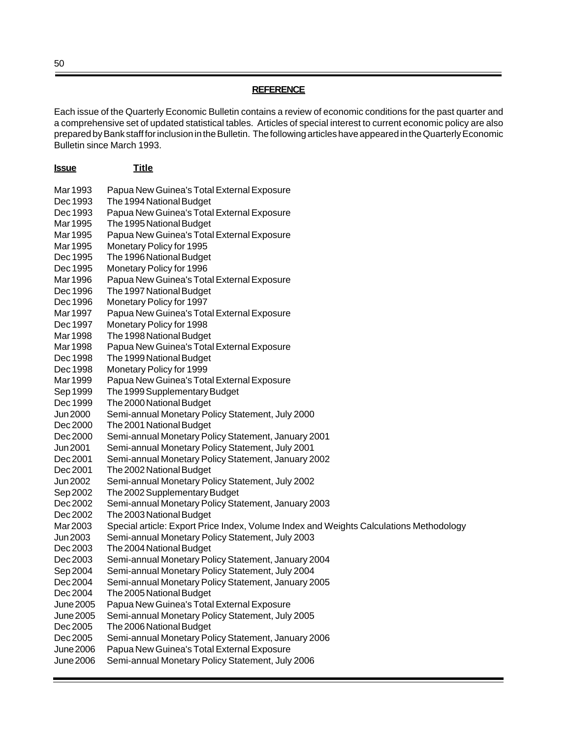## **REFERENCE**

Each issue of the Quarterly Economic Bulletin contains a review of economic conditions for the past quarter and a comprehensive set of updated statistical tables. Articles of special interest to current economic policy are also prepared by Bank staff for inclusion in the Bulletin. The following articles have appeared in the Quarterly Economic Bulletin since March 1993.

| <u>Issue</u>         | <u>Title</u>                                                                                      |
|----------------------|---------------------------------------------------------------------------------------------------|
| Mar 1993             | Papua New Guinea's Total External Exposure                                                        |
| Dec 1993             | The 1994 National Budget                                                                          |
| Dec 1993             | Papua New Guinea's Total External Exposure                                                        |
| Mar 1995             | The 1995 National Budget                                                                          |
| Mar 1995             | Papua New Guinea's Total External Exposure                                                        |
| Mar 1995             | Monetary Policy for 1995                                                                          |
| Dec 1995             | The 1996 National Budget                                                                          |
| Dec 1995             | Monetary Policy for 1996                                                                          |
| Mar 1996             | Papua New Guinea's Total External Exposure                                                        |
| Dec 1996             | The 1997 National Budget                                                                          |
| Dec 1996             | Monetary Policy for 1997                                                                          |
| Mar 1997             | Papua New Guinea's Total External Exposure                                                        |
| Dec 1997             | Monetary Policy for 1998                                                                          |
| Mar 1998             | The 1998 National Budget                                                                          |
| Mar 1998             | Papua New Guinea's Total External Exposure                                                        |
| Dec 1998             | The 1999 National Budget                                                                          |
| Dec 1998             | Monetary Policy for 1999                                                                          |
| Mar 1999             | Papua New Guinea's Total External Exposure                                                        |
| Sep 1999             | The 1999 Supplementary Budget                                                                     |
| Dec 1999             | The 2000 National Budget                                                                          |
| Jun 2000             | Semi-annual Monetary Policy Statement, July 2000                                                  |
| Dec 2000             | The 2001 National Budget                                                                          |
| Dec 2000             | Semi-annual Monetary Policy Statement, January 2001                                               |
| Jun 2001             | Semi-annual Monetary Policy Statement, July 2001                                                  |
| Dec 2001             | Semi-annual Monetary Policy Statement, January 2002                                               |
| Dec 2001             | The 2002 National Budget                                                                          |
| Jun 2002             | Semi-annual Monetary Policy Statement, July 2002                                                  |
| Sep 2002             | The 2002 Supplementary Budget                                                                     |
| Dec 2002             | Semi-annual Monetary Policy Statement, January 2003                                               |
| Dec 2002             | The 2003 National Budget                                                                          |
| Mar 2003             | Special article: Export Price Index, Volume Index and Weights Calculations Methodology            |
| Jun 2003             | Semi-annual Monetary Policy Statement, July 2003                                                  |
| Dec 2003             | The 2004 National Budget                                                                          |
| Dec 2003             | Semi-annual Monetary Policy Statement, January 2004                                               |
| Sep 2004             | Semi-annual Monetary Policy Statement, July 2004                                                  |
| Dec 2004             | Semi-annual Monetary Policy Statement, January 2005                                               |
| Dec 2004             | The 2005 National Budget<br>Papua New Guinea's Total External Exposure                            |
| <b>June 2005</b>     | Semi-annual Monetary Policy Statement, July 2005                                                  |
| June 2005            |                                                                                                   |
| Dec 2005<br>Dec 2005 | The 2006 National Budget                                                                          |
| <b>June 2006</b>     | Semi-annual Monetary Policy Statement, January 2006<br>Papua New Guinea's Total External Exposure |
| <b>June 2006</b>     | Semi-annual Monetary Policy Statement, July 2006                                                  |
|                      |                                                                                                   |